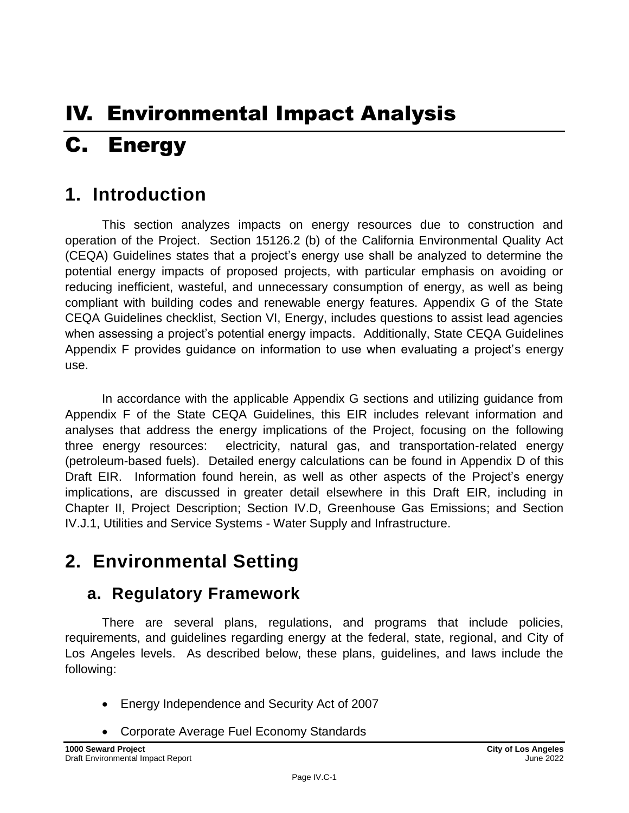# IV. Environmental Impact Analysis C. Energy

## **1. Introduction**

This section analyzes impacts on energy resources due to construction and operation of the Project. Section 15126.2 (b) of the California Environmental Quality Act (CEQA) Guidelines states that a project's energy use shall be analyzed to determine the potential energy impacts of proposed projects, with particular emphasis on avoiding or reducing inefficient, wasteful, and unnecessary consumption of energy, as well as being compliant with building codes and renewable energy features. Appendix G of the State CEQA Guidelines checklist, Section VI, Energy, includes questions to assist lead agencies when assessing a project's potential energy impacts. Additionally, State CEQA Guidelines Appendix F provides guidance on information to use when evaluating a project's energy use.

In accordance with the applicable Appendix G sections and utilizing guidance from Appendix F of the State CEQA Guidelines, this EIR includes relevant information and analyses that address the energy implications of the Project, focusing on the following three energy resources: electricity, natural gas, and transportation-related energy (petroleum-based fuels). Detailed energy calculations can be found in Appendix D of this Draft EIR. Information found herein, as well as other aspects of the Project's energy implications, are discussed in greater detail elsewhere in this Draft EIR, including in Chapter II, Project Description; Section IV.D, Greenhouse Gas Emissions; and Section IV.J.1, Utilities and Service Systems - Water Supply and Infrastructure.

## **2. Environmental Setting**

## **a. Regulatory Framework**

There are several plans, regulations, and programs that include policies, requirements, and guidelines regarding energy at the federal, state, regional, and City of Los Angeles levels. As described below, these plans, guidelines, and laws include the following:

- Energy Independence and Security Act of 2007
- Corporate Average Fuel Economy Standards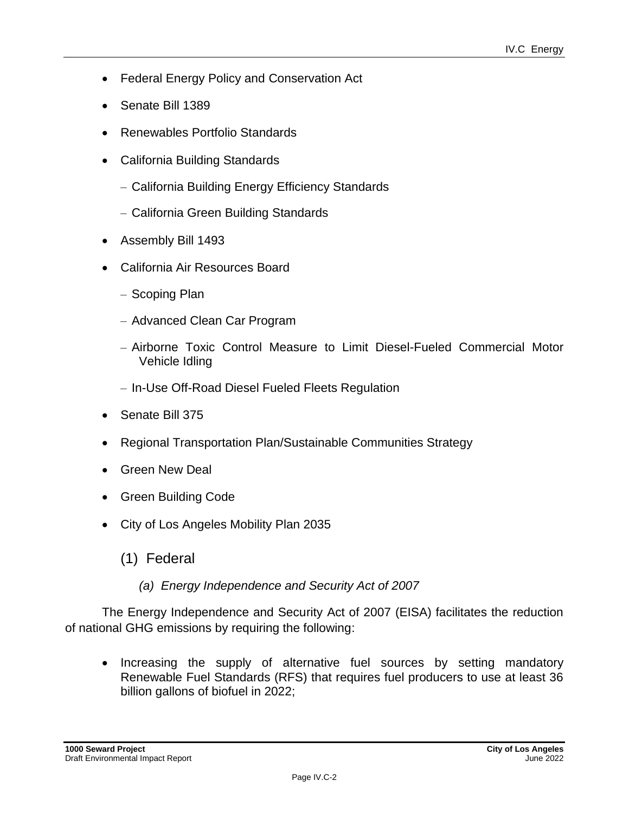- Federal Energy Policy and Conservation Act
- Senate Bill 1389
- Renewables Portfolio Standards
- California Building Standards
	- California Building Energy Efficiency Standards
	- California Green Building Standards
- Assembly Bill 1493
- California Air Resources Board
	- Scoping Plan
	- Advanced Clean Car Program
	- Airborne Toxic Control Measure to Limit Diesel-Fueled Commercial Motor Vehicle Idling
	- In-Use Off-Road Diesel Fueled Fleets Regulation
- Senate Bill 375
- Regional Transportation Plan/Sustainable Communities Strategy
- Green New Deal
- Green Building Code
- City of Los Angeles Mobility Plan 2035
	- (1) Federal
		- *(a) Energy Independence and Security Act of 2007*

The Energy Independence and Security Act of 2007 (EISA) facilitates the reduction of national GHG emissions by requiring the following:

• Increasing the supply of alternative fuel sources by setting mandatory Renewable Fuel Standards (RFS) that requires fuel producers to use at least 36 billion gallons of biofuel in 2022;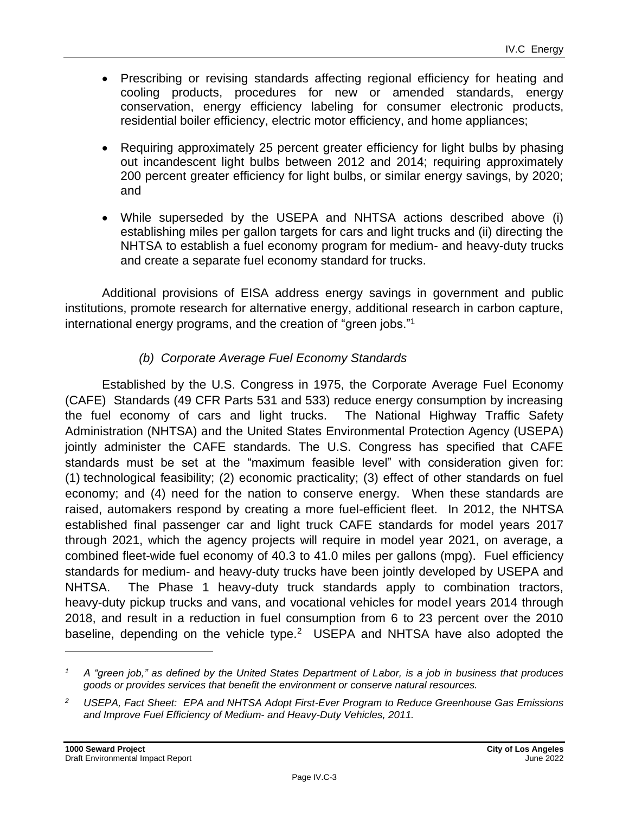- Prescribing or revising standards affecting regional efficiency for heating and cooling products, procedures for new or amended standards, energy conservation, energy efficiency labeling for consumer electronic products, residential boiler efficiency, electric motor efficiency, and home appliances;
- Requiring approximately 25 percent greater efficiency for light bulbs by phasing out incandescent light bulbs between 2012 and 2014; requiring approximately 200 percent greater efficiency for light bulbs, or similar energy savings, by 2020; and
- While superseded by the USEPA and NHTSA actions described above (i) establishing miles per gallon targets for cars and light trucks and (ii) directing the NHTSA to establish a fuel economy program for medium- and heavy-duty trucks and create a separate fuel economy standard for trucks.

Additional provisions of EISA address energy savings in government and public institutions, promote research for alternative energy, additional research in carbon capture, international energy programs, and the creation of "green jobs."<sup>1</sup>

#### *(b) Corporate Average Fuel Economy Standards*

Established by the U.S. Congress in 1975, the Corporate Average Fuel Economy (CAFE) Standards (49 CFR Parts 531 and 533) reduce energy consumption by increasing the fuel economy of cars and light trucks. The National Highway Traffic Safety Administration (NHTSA) and the United States Environmental Protection Agency (USEPA) jointly administer the CAFE standards. The U.S. Congress has specified that CAFE standards must be set at the "maximum feasible level" with consideration given for: (1) technological feasibility; (2) economic practicality; (3) effect of other standards on fuel economy; and (4) need for the nation to conserve energy. When these standards are raised, automakers respond by creating a more fuel-efficient fleet. In 2012, the NHTSA established final passenger car and light truck CAFE standards for model years 2017 through 2021, which the agency projects will require in model year 2021, on average, a combined fleet-wide fuel economy of 40.3 to 41.0 miles per gallons (mpg). Fuel efficiency standards for medium- and heavy-duty trucks have been jointly developed by USEPA and NHTSA. The Phase 1 heavy-duty truck standards apply to combination tractors, heavy-duty pickup trucks and vans, and vocational vehicles for model years 2014 through 2018, and result in a reduction in fuel consumption from 6 to 23 percent over the 2010 baseline, depending on the vehicle type. $2$  USEPA and NHTSA have also adopted the

*<sup>1</sup> A "green job," as defined by the United States Department of Labor, is a job in business that produces goods or provides services that benefit the environment or conserve natural resources.*

*<sup>2</sup> USEPA, Fact Sheet: EPA and NHTSA Adopt First-Ever Program to Reduce Greenhouse Gas Emissions and Improve Fuel Efficiency of Medium- and Heavy-Duty Vehicles, 2011.*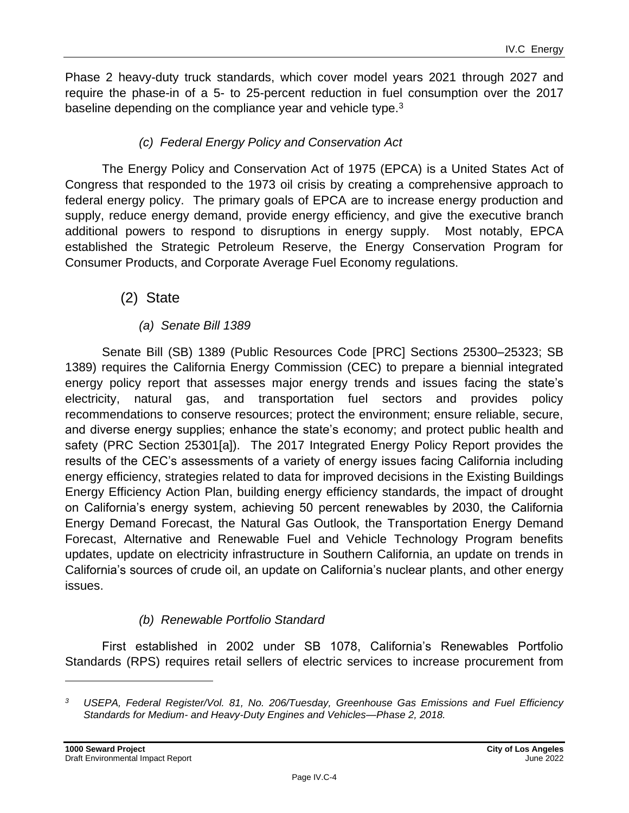Phase 2 heavy-duty truck standards, which cover model years 2021 through 2027 and require the phase-in of a 5- to 25-percent reduction in fuel consumption over the 2017 baseline depending on the compliance year and vehicle type.<sup>3</sup>

#### *(c) Federal Energy Policy and Conservation Act*

The Energy Policy and Conservation Act of 1975 (EPCA) is a United States Act of Congress that responded to the 1973 oil crisis by creating a comprehensive approach to federal energy policy. The primary goals of EPCA are to increase energy production and supply, reduce energy demand, provide energy efficiency, and give the executive branch additional powers to respond to disruptions in energy supply. Most notably, EPCA established the Strategic Petroleum Reserve, the Energy Conservation Program for Consumer Products, and Corporate Average Fuel Economy regulations.

#### (2) State

#### *(a) Senate Bill 1389*

Senate Bill (SB) 1389 (Public Resources Code [PRC] Sections 25300–25323; SB 1389) requires the California Energy Commission (CEC) to prepare a biennial integrated energy policy report that assesses major energy trends and issues facing the state's electricity, natural gas, and transportation fuel sectors and provides policy recommendations to conserve resources; protect the environment; ensure reliable, secure, and diverse energy supplies; enhance the state's economy; and protect public health and safety (PRC Section 25301[a]). The 2017 Integrated Energy Policy Report provides the results of the CEC's assessments of a variety of energy issues facing California including energy efficiency, strategies related to data for improved decisions in the Existing Buildings Energy Efficiency Action Plan, building energy efficiency standards, the impact of drought on California's energy system, achieving 50 percent renewables by 2030, the California Energy Demand Forecast, the Natural Gas Outlook, the Transportation Energy Demand Forecast, Alternative and Renewable Fuel and Vehicle Technology Program benefits updates, update on electricity infrastructure in Southern California, an update on trends in California's sources of crude oil, an update on California's nuclear plants, and other energy issues.

#### *(b) Renewable Portfolio Standard*

First established in 2002 under SB 1078, California's Renewables Portfolio Standards (RPS) requires retail sellers of electric services to increase procurement from

*<sup>3</sup> USEPA, Federal Register/Vol. 81, No. 206/Tuesday, Greenhouse Gas Emissions and Fuel Efficiency Standards for Medium- and Heavy-Duty Engines and Vehicles—Phase 2, 2018.*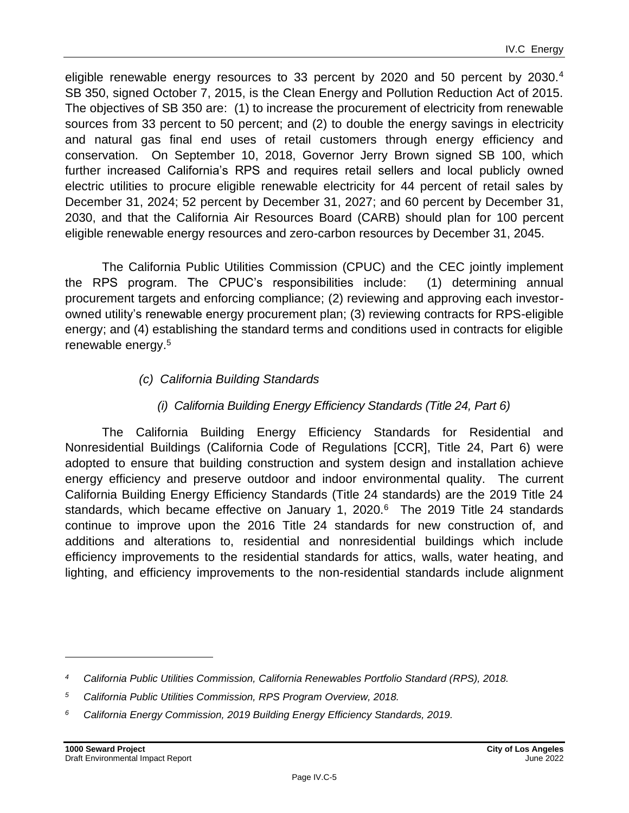eligible renewable energy resources to 33 percent by 2020 and 50 percent by 2030.<sup>4</sup> SB 350, signed October 7, 2015, is the Clean Energy and Pollution Reduction Act of 2015. The objectives of SB 350 are: (1) to increase the procurement of electricity from renewable sources from 33 percent to 50 percent; and (2) to double the energy savings in electricity and natural gas final end uses of retail customers through energy efficiency and conservation. On September 10, 2018, Governor Jerry Brown signed SB 100, which further increased California's RPS and requires retail sellers and local publicly owned electric utilities to procure eligible renewable electricity for 44 percent of retail sales by December 31, 2024; 52 percent by December 31, 2027; and 60 percent by December 31, 2030, and that the California Air Resources Board (CARB) should plan for 100 percent eligible renewable energy resources and zero-carbon resources by December 31, 2045.

The California Public Utilities Commission (CPUC) and the CEC jointly implement the RPS program. The CPUC's responsibilities include: (1) determining annual procurement targets and enforcing compliance; (2) reviewing and approving each investorowned utility's renewable energy procurement plan; (3) reviewing contracts for RPS-eligible energy; and (4) establishing the standard terms and conditions used in contracts for eligible renewable energy.<sup>5</sup>

#### *(c) California Building Standards*

#### *(i) California Building Energy Efficiency Standards (Title 24, Part 6)*

The California Building Energy Efficiency Standards for Residential and Nonresidential Buildings (California Code of Regulations [CCR], Title 24, Part 6) were adopted to ensure that building construction and system design and installation achieve energy efficiency and preserve outdoor and indoor environmental quality. The current California Building Energy Efficiency Standards (Title 24 standards) are the 2019 Title 24 standards, which became effective on January 1, 2020.<sup>6</sup> The 2019 Title 24 standards continue to improve upon the 2016 Title 24 standards for new construction of, and additions and alterations to, residential and nonresidential buildings which include efficiency improvements to the residential standards for attics, walls, water heating, and lighting, and efficiency improvements to the non-residential standards include alignment

*<sup>4</sup> California Public Utilities Commission, California Renewables Portfolio Standard (RPS), 2018.*

*<sup>5</sup> California Public Utilities Commission, RPS Program Overview, 2018.*

*<sup>6</sup> California Energy Commission, 2019 Building Energy Efficiency Standards, 2019.*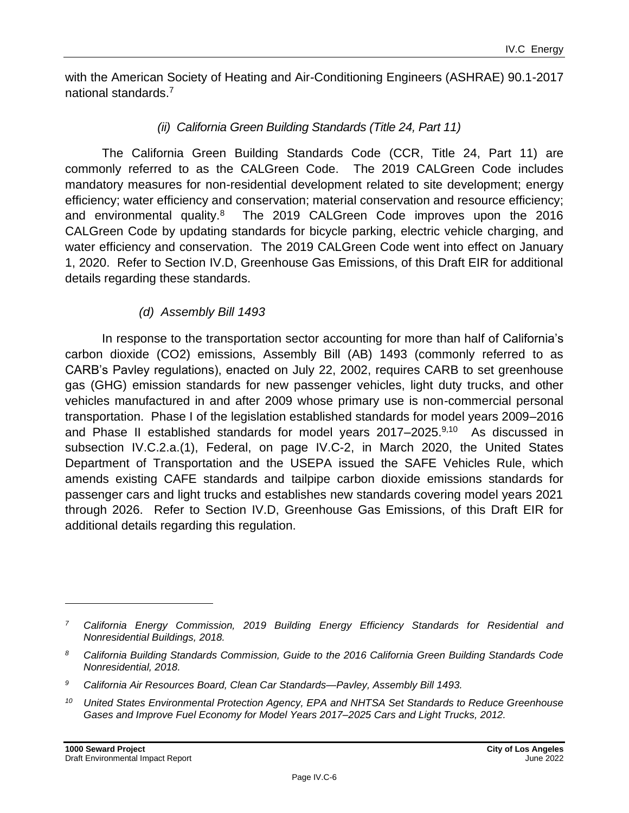with the American Society of Heating and Air-Conditioning Engineers (ASHRAE) 90.1-2017 national standards.<sup>7</sup>

#### *(ii) California Green Building Standards (Title 24, Part 11)*

The California Green Building Standards Code (CCR, Title 24, Part 11) are commonly referred to as the CALGreen Code. The 2019 CALGreen Code includes mandatory measures for non-residential development related to site development; energy efficiency; water efficiency and conservation; material conservation and resource efficiency; and environmental quality.<sup>8</sup> The 2019 CALGreen Code improves upon the 2016 CALGreen Code by updating standards for bicycle parking, electric vehicle charging, and water efficiency and conservation. The 2019 CALGreen Code went into effect on January 1, 2020. Refer to Section IV.D, Greenhouse Gas Emissions, of this Draft EIR for additional details regarding these standards.

#### *(d) Assembly Bill 1493*

In response to the transportation sector accounting for more than half of California's carbon dioxide (CO2) emissions, Assembly Bill (AB) 1493 (commonly referred to as CARB's Pavley regulations), enacted on July 22, 2002, requires CARB to set greenhouse gas (GHG) emission standards for new passenger vehicles, light duty trucks, and other vehicles manufactured in and after 2009 whose primary use is non-commercial personal transportation. Phase I of the legislation established standards for model years 2009–2016 and Phase II established standards for model years 2017–2025.<sup>9,10</sup> As discussed in subsection IV.C.2.a.(1), Federal, on page IV.C-2, in March 2020, the United States Department of Transportation and the USEPA issued the SAFE Vehicles Rule, which amends existing CAFE standards and tailpipe carbon dioxide emissions standards for passenger cars and light trucks and establishes new standards covering model years 2021 through 2026. Refer to Section IV.D, Greenhouse Gas Emissions, of this Draft EIR for additional details regarding this regulation.

*<sup>7</sup> California Energy Commission, 2019 Building Energy Efficiency Standards for Residential and Nonresidential Buildings, 2018.*

*<sup>8</sup> California Building Standards Commission, Guide to the 2016 California Green Building Standards Code Nonresidential, 2018.*

*<sup>9</sup> California Air Resources Board, Clean Car Standards—Pavley, Assembly Bill 1493.*

*<sup>10</sup> United States Environmental Protection Agency, EPA and NHTSA Set Standards to Reduce Greenhouse Gases and Improve Fuel Economy for Model Years 2017–2025 Cars and Light Trucks, 2012.*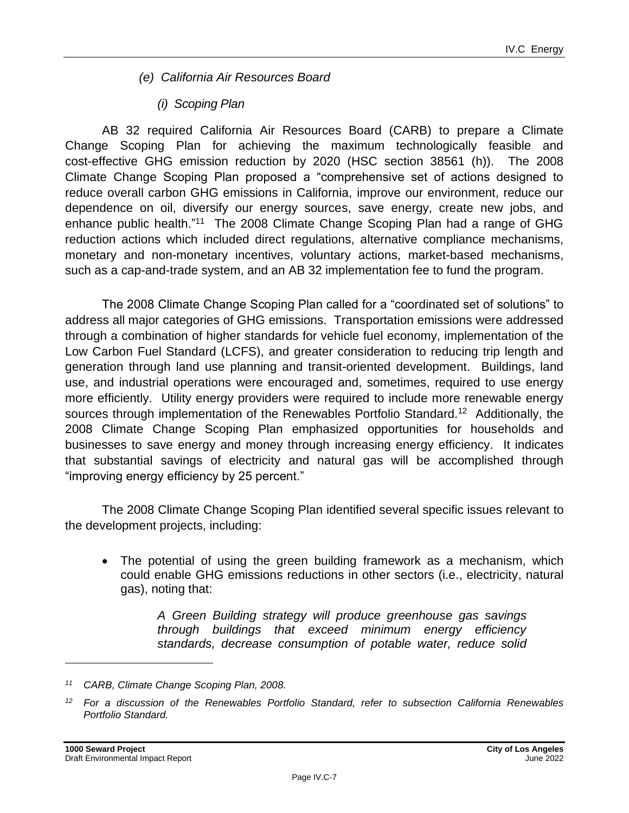- *(e) California Air Resources Board*
	- *(i) Scoping Plan*

AB 32 required California Air Resources Board (CARB) to prepare a Climate Change Scoping Plan for achieving the maximum technologically feasible and cost-effective GHG emission reduction by 2020 (HSC section 38561 (h)). The 2008 Climate Change Scoping Plan proposed a "comprehensive set of actions designed to reduce overall carbon GHG emissions in California, improve our environment, reduce our dependence on oil, diversify our energy sources, save energy, create new jobs, and enhance public health."<sup>11</sup> The 2008 Climate Change Scoping Plan had a range of GHG reduction actions which included direct regulations, alternative compliance mechanisms, monetary and non-monetary incentives, voluntary actions, market-based mechanisms, such as a cap-and-trade system, and an AB 32 implementation fee to fund the program.

The 2008 Climate Change Scoping Plan called for a "coordinated set of solutions" to address all major categories of GHG emissions. Transportation emissions were addressed through a combination of higher standards for vehicle fuel economy, implementation of the Low Carbon Fuel Standard (LCFS), and greater consideration to reducing trip length and generation through land use planning and transit-oriented development. Buildings, land use, and industrial operations were encouraged and, sometimes, required to use energy more efficiently. Utility energy providers were required to include more renewable energy sources through implementation of the Renewables Portfolio Standard.<sup>12</sup> Additionally, the 2008 Climate Change Scoping Plan emphasized opportunities for households and businesses to save energy and money through increasing energy efficiency. It indicates that substantial savings of electricity and natural gas will be accomplished through "improving energy efficiency by 25 percent."

The 2008 Climate Change Scoping Plan identified several specific issues relevant to the development projects, including:

• The potential of using the green building framework as a mechanism, which could enable GHG emissions reductions in other sectors (i.e., electricity, natural gas), noting that:

> *A Green Building strategy will produce greenhouse gas savings through buildings that exceed minimum energy efficiency standards, decrease consumption of potable water, reduce solid*

*<sup>11</sup> CARB, Climate Change Scoping Plan, 2008.*

*<sup>12</sup> For a discussion of the Renewables Portfolio Standard, refer to subsection California Renewables Portfolio Standard.*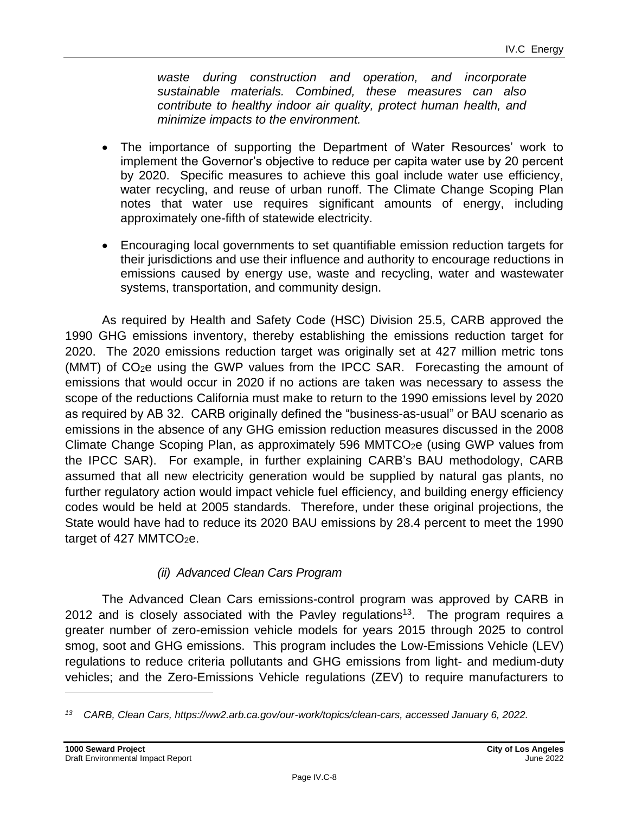*waste during construction and operation, and incorporate sustainable materials. Combined, these measures can also contribute to healthy indoor air quality, protect human health, and minimize impacts to the environment.*

- The importance of supporting the Department of Water Resources' work to implement the Governor's objective to reduce per capita water use by 20 percent by 2020. Specific measures to achieve this goal include water use efficiency, water recycling, and reuse of urban runoff. The Climate Change Scoping Plan notes that water use requires significant amounts of energy, including approximately one-fifth of statewide electricity.
- Encouraging local governments to set quantifiable emission reduction targets for their jurisdictions and use their influence and authority to encourage reductions in emissions caused by energy use, waste and recycling, water and wastewater systems, transportation, and community design.

As required by Health and Safety Code (HSC) Division 25.5, CARB approved the 1990 GHG emissions inventory, thereby establishing the emissions reduction target for 2020. The 2020 emissions reduction target was originally set at 427 million metric tons (MMT) of CO2e using the GWP values from the IPCC SAR. Forecasting the amount of emissions that would occur in 2020 if no actions are taken was necessary to assess the scope of the reductions California must make to return to the 1990 emissions level by 2020 as required by AB 32. CARB originally defined the "business-as-usual" or BAU scenario as emissions in the absence of any GHG emission reduction measures discussed in the 2008 Climate Change Scoping Plan, as approximately 596 MMTCO $_{2}e$  (using GWP values from the IPCC SAR). For example, in further explaining CARB's BAU methodology, CARB assumed that all new electricity generation would be supplied by natural gas plants, no further regulatory action would impact vehicle fuel efficiency, and building energy efficiency codes would be held at 2005 standards. Therefore, under these original projections, the State would have had to reduce its 2020 BAU emissions by 28.4 percent to meet the 1990 target of 427 MMTCO<sub>2</sub>e.

#### *(ii) Advanced Clean Cars Program*

The Advanced Clean Cars emissions-control program was approved by CARB in 2012 and is closely associated with the Pavley regulations<sup>13</sup>. The program requires a greater number of zero-emission vehicle models for years 2015 through 2025 to control smog, soot and GHG emissions. This program includes the Low-Emissions Vehicle (LEV) regulations to reduce criteria pollutants and GHG emissions from light- and medium-duty vehicles; and the Zero-Emissions Vehicle regulations (ZEV) to require manufacturers to

*<sup>13</sup> CARB, Clean Cars, https://ww2.arb.ca.gov/our-work/topics/clean-cars, accessed January 6, 2022.*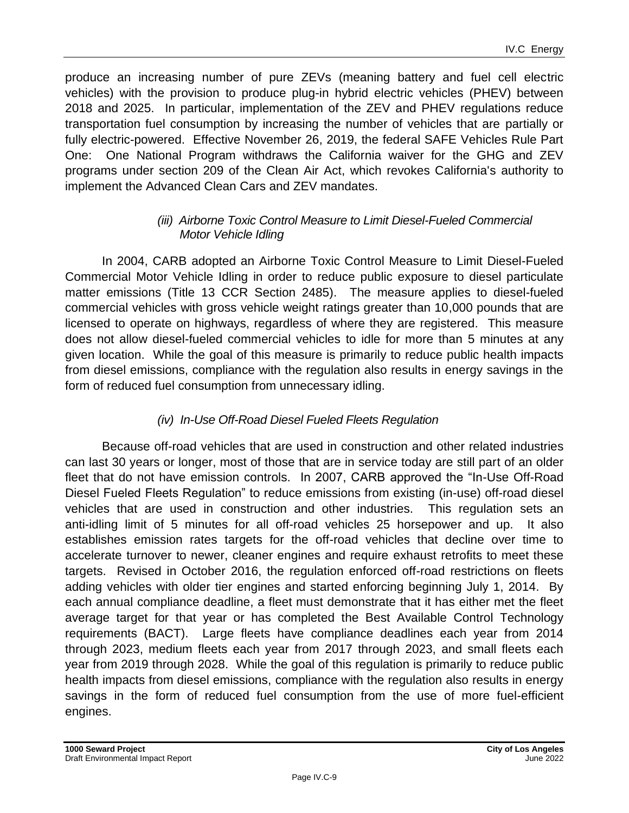produce an increasing number of pure ZEVs (meaning battery and fuel cell electric vehicles) with the provision to produce plug-in hybrid electric vehicles (PHEV) between 2018 and 2025. In particular, implementation of the ZEV and PHEV regulations reduce transportation fuel consumption by increasing the number of vehicles that are partially or fully electric-powered. Effective November 26, 2019, the federal SAFE Vehicles Rule Part One: One National Program withdraws the California waiver for the GHG and ZEV programs under section 209 of the Clean Air Act, which revokes California's authority to implement the Advanced Clean Cars and ZEV mandates.

#### *(iii) Airborne Toxic Control Measure to Limit Diesel-Fueled Commercial Motor Vehicle Idling*

In 2004, CARB adopted an Airborne Toxic Control Measure to Limit Diesel-Fueled Commercial Motor Vehicle Idling in order to reduce public exposure to diesel particulate matter emissions (Title 13 CCR Section 2485). The measure applies to diesel-fueled commercial vehicles with gross vehicle weight ratings greater than 10,000 pounds that are licensed to operate on highways, regardless of where they are registered. This measure does not allow diesel-fueled commercial vehicles to idle for more than 5 minutes at any given location. While the goal of this measure is primarily to reduce public health impacts from diesel emissions, compliance with the regulation also results in energy savings in the form of reduced fuel consumption from unnecessary idling.

#### *(iv) In-Use Off-Road Diesel Fueled Fleets Regulation*

Because off-road vehicles that are used in construction and other related industries can last 30 years or longer, most of those that are in service today are still part of an older fleet that do not have emission controls. In 2007, CARB approved the "In-Use Off-Road Diesel Fueled Fleets Regulation" to reduce emissions from existing (in-use) off-road diesel vehicles that are used in construction and other industries. This regulation sets an anti-idling limit of 5 minutes for all off-road vehicles 25 horsepower and up. It also establishes emission rates targets for the off-road vehicles that decline over time to accelerate turnover to newer, cleaner engines and require exhaust retrofits to meet these targets. Revised in October 2016, the regulation enforced off-road restrictions on fleets adding vehicles with older tier engines and started enforcing beginning July 1, 2014. By each annual compliance deadline, a fleet must demonstrate that it has either met the fleet average target for that year or has completed the Best Available Control Technology requirements (BACT). Large fleets have compliance deadlines each year from 2014 through 2023, medium fleets each year from 2017 through 2023, and small fleets each year from 2019 through 2028. While the goal of this regulation is primarily to reduce public health impacts from diesel emissions, compliance with the regulation also results in energy savings in the form of reduced fuel consumption from the use of more fuel-efficient engines.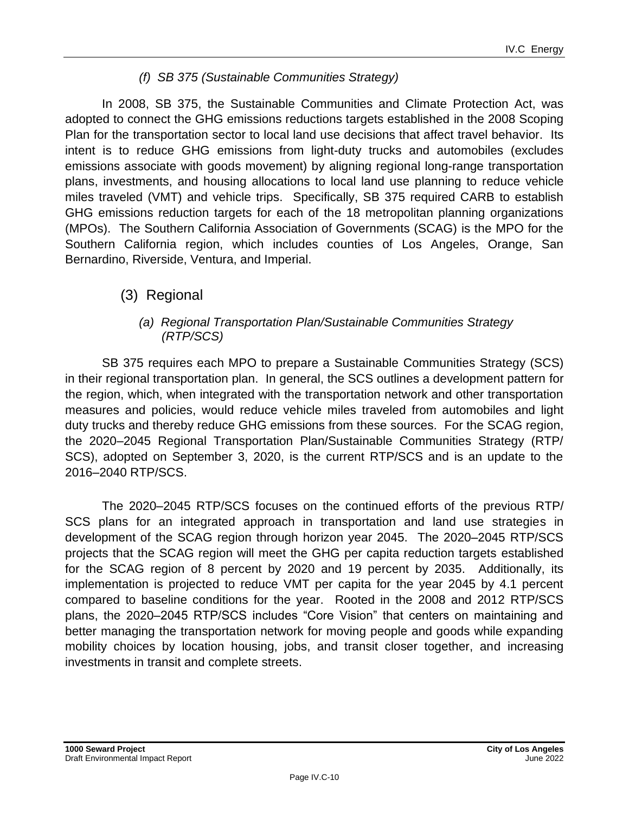#### *(f) SB 375 (Sustainable Communities Strategy)*

In 2008, SB 375, the Sustainable Communities and Climate Protection Act, was adopted to connect the GHG emissions reductions targets established in the 2008 Scoping Plan for the transportation sector to local land use decisions that affect travel behavior. Its intent is to reduce GHG emissions from light-duty trucks and automobiles (excludes emissions associate with goods movement) by aligning regional long-range transportation plans, investments, and housing allocations to local land use planning to reduce vehicle miles traveled (VMT) and vehicle trips. Specifically, SB 375 required CARB to establish GHG emissions reduction targets for each of the 18 metropolitan planning organizations (MPOs). The Southern California Association of Governments (SCAG) is the MPO for the Southern California region, which includes counties of Los Angeles, Orange, San Bernardino, Riverside, Ventura, and Imperial.

#### (3) Regional

#### *(a) Regional Transportation Plan/Sustainable Communities Strategy (RTP/SCS)*

SB 375 requires each MPO to prepare a Sustainable Communities Strategy (SCS) in their regional transportation plan. In general, the SCS outlines a development pattern for the region, which, when integrated with the transportation network and other transportation measures and policies, would reduce vehicle miles traveled from automobiles and light duty trucks and thereby reduce GHG emissions from these sources. For the SCAG region, the 2020–2045 Regional Transportation Plan/Sustainable Communities Strategy (RTP/ SCS), adopted on September 3, 2020, is the current RTP/SCS and is an update to the 2016–2040 RTP/SCS.

The 2020–2045 RTP/SCS focuses on the continued efforts of the previous RTP/ SCS plans for an integrated approach in transportation and land use strategies in development of the SCAG region through horizon year 2045. The 2020–2045 RTP/SCS projects that the SCAG region will meet the GHG per capita reduction targets established for the SCAG region of 8 percent by 2020 and 19 percent by 2035. Additionally, its implementation is projected to reduce VMT per capita for the year 2045 by 4.1 percent compared to baseline conditions for the year. Rooted in the 2008 and 2012 RTP/SCS plans, the 2020–2045 RTP/SCS includes "Core Vision" that centers on maintaining and better managing the transportation network for moving people and goods while expanding mobility choices by location housing, jobs, and transit closer together, and increasing investments in transit and complete streets.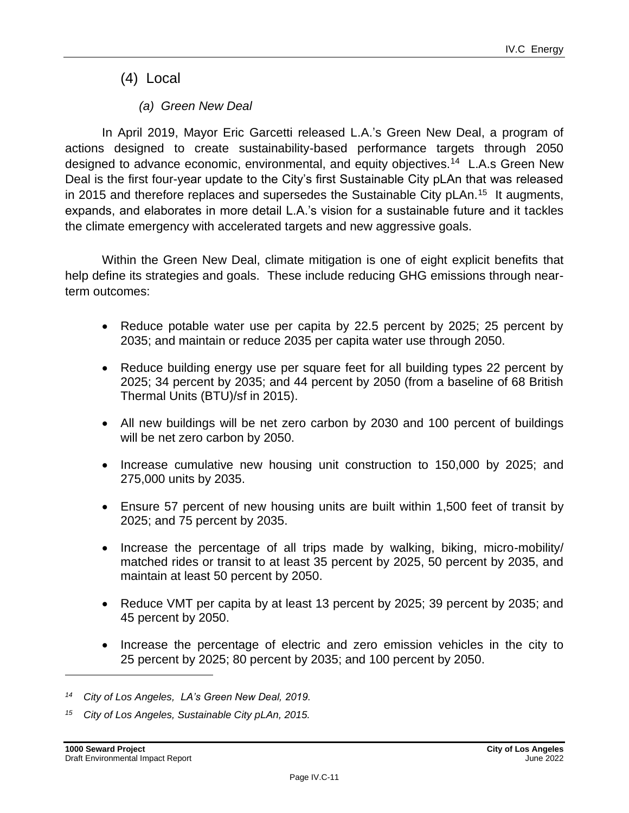(4) Local

*(a) Green New Deal*

In April 2019, Mayor Eric Garcetti released L.A.'s Green New Deal, a program of actions designed to create sustainability-based performance targets through 2050 designed to advance economic, environmental, and equity objectives.<sup>14</sup> L.A.s Green New Deal is the first four-year update to the City's first Sustainable City pLAn that was released in 2015 and therefore replaces and supersedes the Sustainable City pLAn.<sup>15</sup> It augments, expands, and elaborates in more detail L.A.'s vision for a sustainable future and it tackles the climate emergency with accelerated targets and new aggressive goals.

Within the Green New Deal, climate mitigation is one of eight explicit benefits that help define its strategies and goals. These include reducing GHG emissions through nearterm outcomes:

- Reduce potable water use per capita by 22.5 percent by 2025; 25 percent by 2035; and maintain or reduce 2035 per capita water use through 2050.
- Reduce building energy use per square feet for all building types 22 percent by 2025; 34 percent by 2035; and 44 percent by 2050 (from a baseline of 68 British Thermal Units (BTU)/sf in 2015).
- All new buildings will be net zero carbon by 2030 and 100 percent of buildings will be net zero carbon by 2050.
- Increase cumulative new housing unit construction to 150,000 by 2025; and 275,000 units by 2035.
- Ensure 57 percent of new housing units are built within 1,500 feet of transit by 2025; and 75 percent by 2035.
- Increase the percentage of all trips made by walking, biking, micro-mobility/ matched rides or transit to at least 35 percent by 2025, 50 percent by 2035, and maintain at least 50 percent by 2050.
- Reduce VMT per capita by at least 13 percent by 2025; 39 percent by 2035; and 45 percent by 2050.
- Increase the percentage of electric and zero emission vehicles in the city to 25 percent by 2025; 80 percent by 2035; and 100 percent by 2050.

*<sup>14</sup> City of Los Angeles, LA's Green New Deal, 2019.*

*<sup>15</sup> City of Los Angeles, Sustainable City pLAn, 2015.*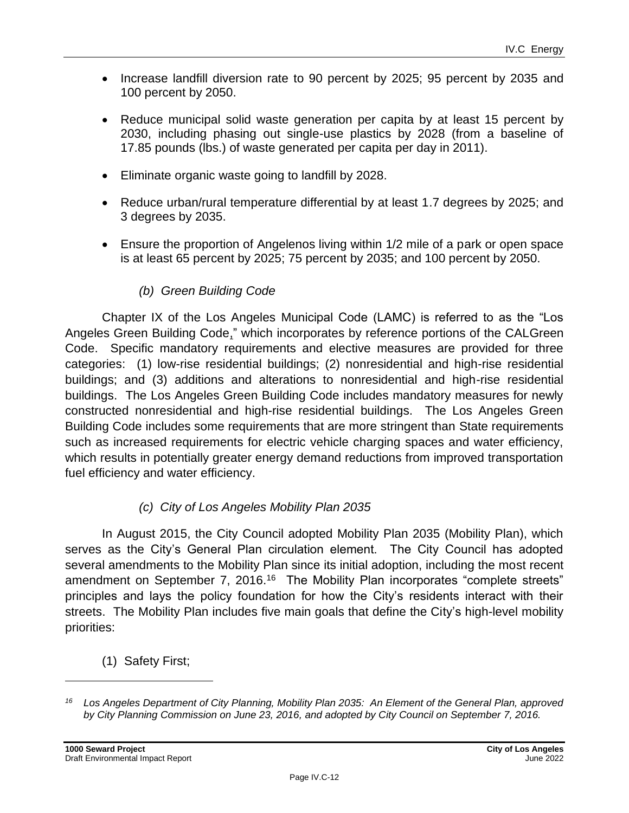- Increase landfill diversion rate to 90 percent by 2025; 95 percent by 2035 and 100 percent by 2050.
- Reduce municipal solid waste generation per capita by at least 15 percent by 2030, including phasing out single-use plastics by 2028 (from a baseline of 17.85 pounds (lbs.) of waste generated per capita per day in 2011).
- Eliminate organic waste going to landfill by 2028.
- Reduce urban/rural temperature differential by at least 1.7 degrees by 2025; and 3 degrees by 2035.
- Ensure the proportion of Angelenos living within 1/2 mile of a park or open space is at least 65 percent by 2025; 75 percent by 2035; and 100 percent by 2050.

#### *(b) Green Building Code*

Chapter IX of the Los Angeles Municipal Code (LAMC) is referred to as the "Los Angeles Green Building Code," which incorporates by reference portions of the CALGreen Code. Specific mandatory requirements and elective measures are provided for three categories: (1) low-rise residential buildings; (2) nonresidential and high-rise residential buildings; and (3) additions and alterations to nonresidential and high-rise residential buildings. The Los Angeles Green Building Code includes mandatory measures for newly constructed nonresidential and high-rise residential buildings. The Los Angeles Green Building Code includes some requirements that are more stringent than State requirements such as increased requirements for electric vehicle charging spaces and water efficiency, which results in potentially greater energy demand reductions from improved transportation fuel efficiency and water efficiency.

#### *(c) City of Los Angeles Mobility Plan 2035*

In August 2015, the City Council adopted Mobility Plan 2035 (Mobility Plan), which serves as the City's General Plan circulation element. The City Council has adopted several amendments to the Mobility Plan since its initial adoption, including the most recent amendment on September 7, 2016.<sup>16</sup> The Mobility Plan incorporates "complete streets" principles and lays the policy foundation for how the City's residents interact with their streets. The Mobility Plan includes five main goals that define the City's high-level mobility priorities:

(1) Safety First;

*<sup>16</sup> Los Angeles Department of City Planning, Mobility Plan 2035: An Element of the General Plan, approved by City Planning Commission on June 23, 2016, and adopted by City Council on September 7, 2016.*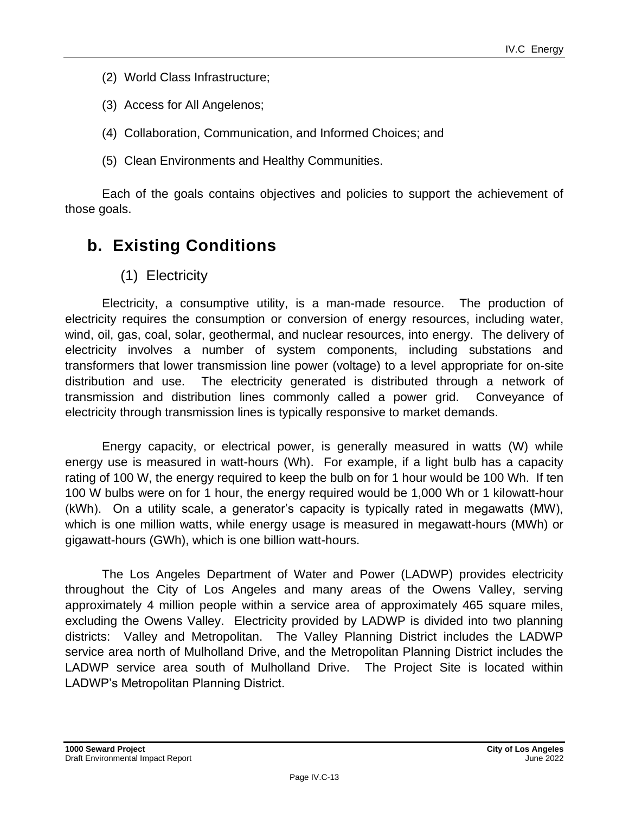- (2) World Class Infrastructure;
- (3) Access for All Angelenos;
- (4) Collaboration, Communication, and Informed Choices; and
- (5) Clean Environments and Healthy Communities.

Each of the goals contains objectives and policies to support the achievement of those goals.

## **b. Existing Conditions**

(1) Electricity

Electricity, a consumptive utility, is a man-made resource. The production of electricity requires the consumption or conversion of energy resources, including water, wind, oil, gas, coal, solar, geothermal, and nuclear resources, into energy. The delivery of electricity involves a number of system components, including substations and transformers that lower transmission line power (voltage) to a level appropriate for on-site distribution and use. The electricity generated is distributed through a network of transmission and distribution lines commonly called a power grid. Conveyance of electricity through transmission lines is typically responsive to market demands.

Energy capacity, or electrical power, is generally measured in watts (W) while energy use is measured in watt-hours (Wh). For example, if a light bulb has a capacity rating of 100 W, the energy required to keep the bulb on for 1 hour would be 100 Wh. If ten 100 W bulbs were on for 1 hour, the energy required would be 1,000 Wh or 1 kilowatt-hour (kWh). On a utility scale, a generator's capacity is typically rated in megawatts (MW), which is one million watts, while energy usage is measured in megawatt-hours (MWh) or gigawatt-hours (GWh), which is one billion watt-hours.

The Los Angeles Department of Water and Power (LADWP) provides electricity throughout the City of Los Angeles and many areas of the Owens Valley, serving approximately 4 million people within a service area of approximately 465 square miles, excluding the Owens Valley. Electricity provided by LADWP is divided into two planning districts: Valley and Metropolitan. The Valley Planning District includes the LADWP service area north of Mulholland Drive, and the Metropolitan Planning District includes the LADWP service area south of Mulholland Drive. The Project Site is located within LADWP's Metropolitan Planning District.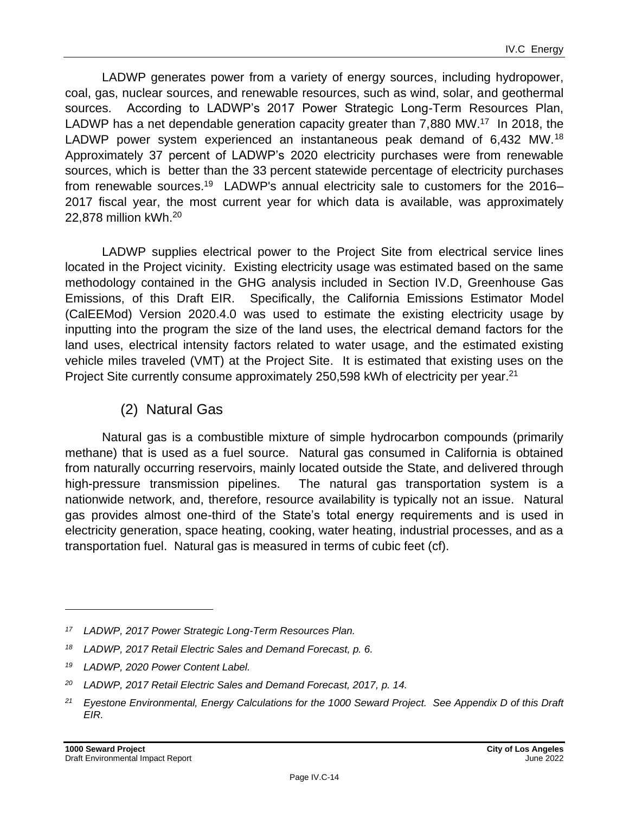LADWP generates power from a variety of energy sources, including hydropower, coal, gas, nuclear sources, and renewable resources, such as wind, solar, and geothermal sources. According to LADWP's 2017 Power Strategic Long-Term Resources Plan, LADWP has a net dependable generation capacity greater than 7,880 MW.<sup>17</sup> In 2018, the LADWP power system experienced an instantaneous peak demand of 6,432 MW.<sup>18</sup> Approximately 37 percent of LADWP's 2020 electricity purchases were from renewable sources, which is better than the 33 percent statewide percentage of electricity purchases from renewable sources.<sup>19</sup> LADWP's annual electricity sale to customers for the 2016– 2017 fiscal year, the most current year for which data is available, was approximately 22,878 million kWh.<sup>20</sup>

LADWP supplies electrical power to the Project Site from electrical service lines located in the Project vicinity. Existing electricity usage was estimated based on the same methodology contained in the GHG analysis included in Section IV.D, Greenhouse Gas Emissions, of this Draft EIR. Specifically, the California Emissions Estimator Model (CalEEMod) Version 2020.4.0 was used to estimate the existing electricity usage by inputting into the program the size of the land uses, the electrical demand factors for the land uses, electrical intensity factors related to water usage, and the estimated existing vehicle miles traveled (VMT) at the Project Site. It is estimated that existing uses on the Project Site currently consume approximately 250,598 kWh of electricity per year.<sup>21</sup>

#### (2) Natural Gas

Natural gas is a combustible mixture of simple hydrocarbon compounds (primarily methane) that is used as a fuel source. Natural gas consumed in California is obtained from naturally occurring reservoirs, mainly located outside the State, and delivered through high-pressure transmission pipelines. The natural gas transportation system is a nationwide network, and, therefore, resource availability is typically not an issue. Natural gas provides almost one-third of the State's total energy requirements and is used in electricity generation, space heating, cooking, water heating, industrial processes, and as a transportation fuel. Natural gas is measured in terms of cubic feet (cf).

*<sup>17</sup> LADWP, 2017 Power Strategic Long-Term Resources Plan.*

*<sup>18</sup> LADWP, 2017 Retail Electric Sales and Demand Forecast, p. 6.*

*<sup>19</sup> LADWP, 2020 Power Content Label.*

*<sup>20</sup> LADWP, 2017 Retail Electric Sales and Demand Forecast, 2017, p. 14.*

*<sup>21</sup> Eyestone Environmental, Energy Calculations for the 1000 Seward Project. See Appendix D of this Draft EIR.*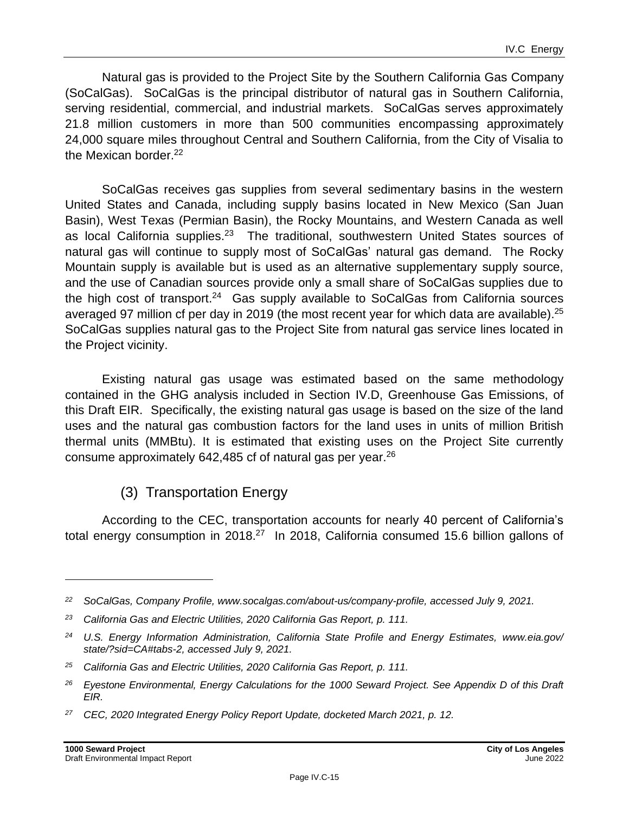Natural gas is provided to the Project Site by the Southern California Gas Company (SoCalGas). SoCalGas is the principal distributor of natural gas in Southern California, serving residential, commercial, and industrial markets. SoCalGas serves approximately 21.8 million customers in more than 500 communities encompassing approximately 24,000 square miles throughout Central and Southern California, from the City of Visalia to the Mexican border.<sup>22</sup>

SoCalGas receives gas supplies from several sedimentary basins in the western United States and Canada, including supply basins located in New Mexico (San Juan Basin), West Texas (Permian Basin), the Rocky Mountains, and Western Canada as well as local California supplies.<sup>23</sup> The traditional, southwestern United States sources of natural gas will continue to supply most of SoCalGas' natural gas demand. The Rocky Mountain supply is available but is used as an alternative supplementary supply source, and the use of Canadian sources provide only a small share of SoCalGas supplies due to the high cost of transport.<sup>24</sup> Gas supply available to SoCalGas from California sources averaged 97 million cf per day in 2019 (the most recent year for which data are available).<sup>25</sup> SoCalGas supplies natural gas to the Project Site from natural gas service lines located in the Project vicinity.

Existing natural gas usage was estimated based on the same methodology contained in the GHG analysis included in Section IV.D, Greenhouse Gas Emissions, of this Draft EIR. Specifically, the existing natural gas usage is based on the size of the land uses and the natural gas combustion factors for the land uses in units of million British thermal units (MMBtu). It is estimated that existing uses on the Project Site currently consume approximately 642,485 cf of natural gas per year.<sup>26</sup>

## (3) Transportation Energy

According to the CEC, transportation accounts for nearly 40 percent of California's total energy consumption in 2018.<sup>27</sup> In 2018, California consumed 15.6 billion gallons of

*<sup>22</sup> SoCalGas, Company Profile, www.socalgas.com/about-us/company-profile, accessed July 9, 2021.*

*<sup>23</sup> California Gas and Electric Utilities, 2020 California Gas Report, p. 111.*

*<sup>24</sup> U.S. Energy Information Administration, California State Profile and Energy Estimates, www.eia.gov/ state/?sid=CA#tabs-2, accessed July 9, 2021.*

*<sup>25</sup> California Gas and Electric Utilities, 2020 California Gas Report, p. 111.*

*<sup>26</sup> Eyestone Environmental, Energy Calculations for the 1000 Seward Project. See Appendix D of this Draft EIR.*

*<sup>27</sup> CEC, 2020 Integrated Energy Policy Report Update, docketed March 2021, p. 12.*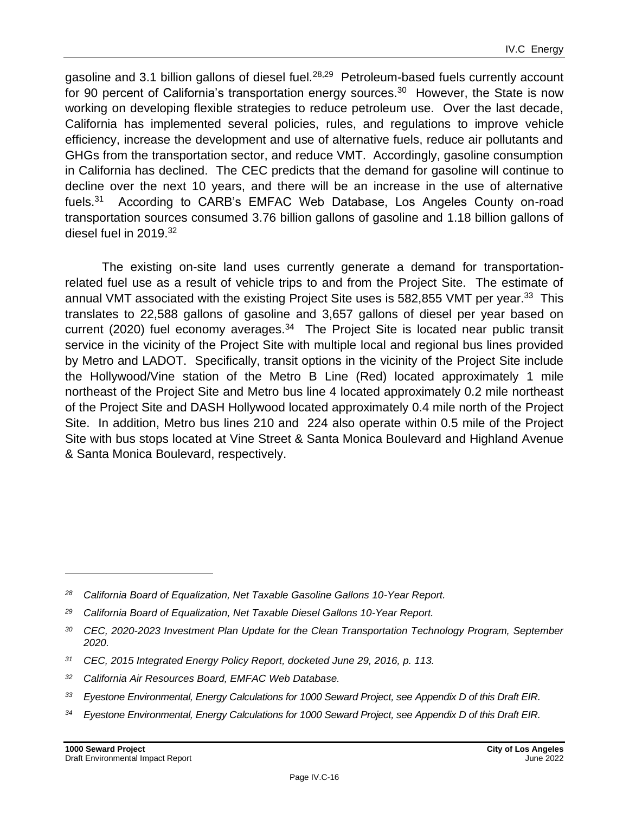gasoline and 3.1 billion gallons of diesel fuel.<sup>28,29</sup> Petroleum-based fuels currently account for 90 percent of California's transportation energy sources.<sup>30</sup> However, the State is now working on developing flexible strategies to reduce petroleum use. Over the last decade, California has implemented several policies, rules, and regulations to improve vehicle efficiency, increase the development and use of alternative fuels, reduce air pollutants and GHGs from the transportation sector, and reduce VMT. Accordingly, gasoline consumption in California has declined. The CEC predicts that the demand for gasoline will continue to decline over the next 10 years, and there will be an increase in the use of alternative fuels. $31$  According to CARB's EMFAC Web Database, Los Angeles County on-road transportation sources consumed 3.76 billion gallons of gasoline and 1.18 billion gallons of diesel fuel in 2019.<sup>32</sup>

The existing on-site land uses currently generate a demand for transportationrelated fuel use as a result of vehicle trips to and from the Project Site. The estimate of annual VMT associated with the existing Project Site uses is 582,855 VMT per year.<sup>33</sup> This translates to 22,588 gallons of gasoline and 3,657 gallons of diesel per year based on current (2020) fuel economy averages.<sup>34</sup> The Project Site is located near public transit service in the vicinity of the Project Site with multiple local and regional bus lines provided by Metro and LADOT. Specifically, transit options in the vicinity of the Project Site include the Hollywood/Vine station of the Metro B Line (Red) located approximately 1 mile northeast of the Project Site and Metro bus line 4 located approximately 0.2 mile northeast of the Project Site and DASH Hollywood located approximately 0.4 mile north of the Project Site. In addition, Metro bus lines 210 and 224 also operate within 0.5 mile of the Project Site with bus stops located at Vine Street & Santa Monica Boulevard and Highland Avenue & Santa Monica Boulevard, respectively.

*<sup>34</sup> Eyestone Environmental, Energy Calculations for 1000 Seward Project, see Appendix D of this Draft EIR.*

*<sup>28</sup> California Board of Equalization, Net Taxable Gasoline Gallons 10-Year Report.*

*<sup>29</sup> California Board of Equalization, Net Taxable Diesel Gallons 10-Year Report.*

*<sup>30</sup> CEC, 2020-2023 Investment Plan Update for the Clean Transportation Technology Program, September 2020.*

*<sup>31</sup> CEC, 2015 Integrated Energy Policy Report, docketed June 29, 2016, p. 113.*

*<sup>32</sup> California Air Resources Board, EMFAC Web Database.*

*<sup>33</sup> Eyestone Environmental, Energy Calculations for 1000 Seward Project, see Appendix D of this Draft EIR.*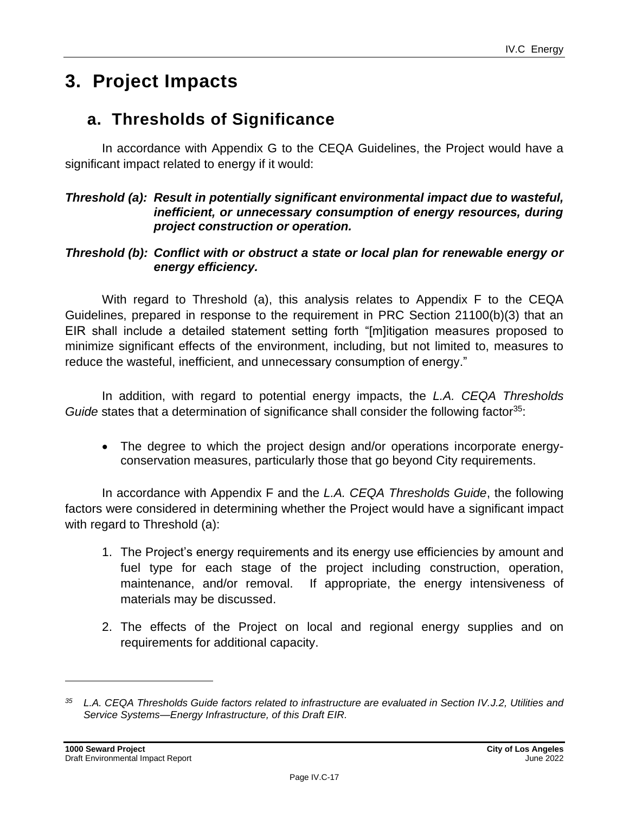## **3. Project Impacts**

## **a. Thresholds of Significance**

In accordance with Appendix G to the CEQA Guidelines, the Project would have a significant impact related to energy if it would:

#### *Threshold (a): Result in potentially significant environmental impact due to wasteful, inefficient, or unnecessary consumption of energy resources, during project construction or operation.*

#### *Threshold (b): Conflict with or obstruct a state or local plan for renewable energy or energy efficiency.*

With regard to Threshold (a), this analysis relates to Appendix F to the CEQA Guidelines, prepared in response to the requirement in PRC Section 21100(b)(3) that an EIR shall include a detailed statement setting forth "[m]itigation measures proposed to minimize significant effects of the environment, including, but not limited to, measures to reduce the wasteful, inefficient, and unnecessary consumption of energy."

In addition, with regard to potential energy impacts, the *L.A. CEQA Thresholds Guide* states that a determination of significance shall consider the following factor<sup>35</sup>:

• The degree to which the project design and/or operations incorporate energyconservation measures, particularly those that go beyond City requirements.

In accordance with Appendix F and the *L.A. CEQA Thresholds Guide*, the following factors were considered in determining whether the Project would have a significant impact with regard to Threshold (a):

- 1. The Project's energy requirements and its energy use efficiencies by amount and fuel type for each stage of the project including construction, operation, maintenance, and/or removal. If appropriate, the energy intensiveness of materials may be discussed.
- 2. The effects of the Project on local and regional energy supplies and on requirements for additional capacity.

*<sup>35</sup> L.A. CEQA Thresholds Guide factors related to infrastructure are evaluated in Section IV.J.2, Utilities and Service Systems—Energy Infrastructure, of this Draft EIR.*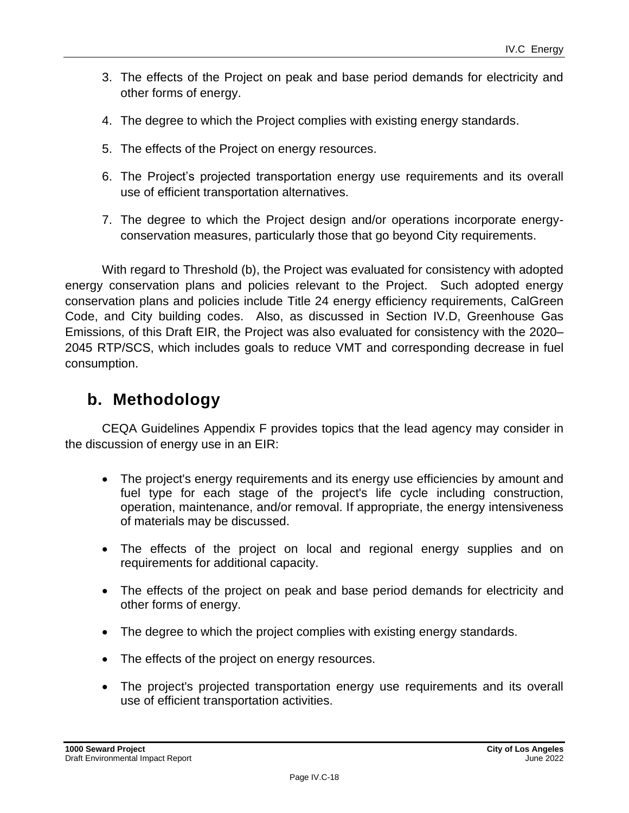- 3. The effects of the Project on peak and base period demands for electricity and other forms of energy.
- 4. The degree to which the Project complies with existing energy standards.
- 5. The effects of the Project on energy resources.
- 6. The Project's projected transportation energy use requirements and its overall use of efficient transportation alternatives.
- 7. The degree to which the Project design and/or operations incorporate energyconservation measures, particularly those that go beyond City requirements.

With regard to Threshold (b), the Project was evaluated for consistency with adopted energy conservation plans and policies relevant to the Project. Such adopted energy conservation plans and policies include Title 24 energy efficiency requirements, CalGreen Code, and City building codes. Also, as discussed in Section IV.D, Greenhouse Gas Emissions, of this Draft EIR, the Project was also evaluated for consistency with the 2020– 2045 RTP/SCS, which includes goals to reduce VMT and corresponding decrease in fuel consumption.

## **b. Methodology**

CEQA Guidelines Appendix F provides topics that the lead agency may consider in the discussion of energy use in an EIR:

- The project's energy requirements and its energy use efficiencies by amount and fuel type for each stage of the project's life cycle including construction, operation, maintenance, and/or removal. If appropriate, the energy intensiveness of materials may be discussed.
- The effects of the project on local and regional energy supplies and on requirements for additional capacity.
- The effects of the project on peak and base period demands for electricity and other forms of energy.
- The degree to which the project complies with existing energy standards.
- The effects of the project on energy resources.
- The project's projected transportation energy use requirements and its overall use of efficient transportation activities.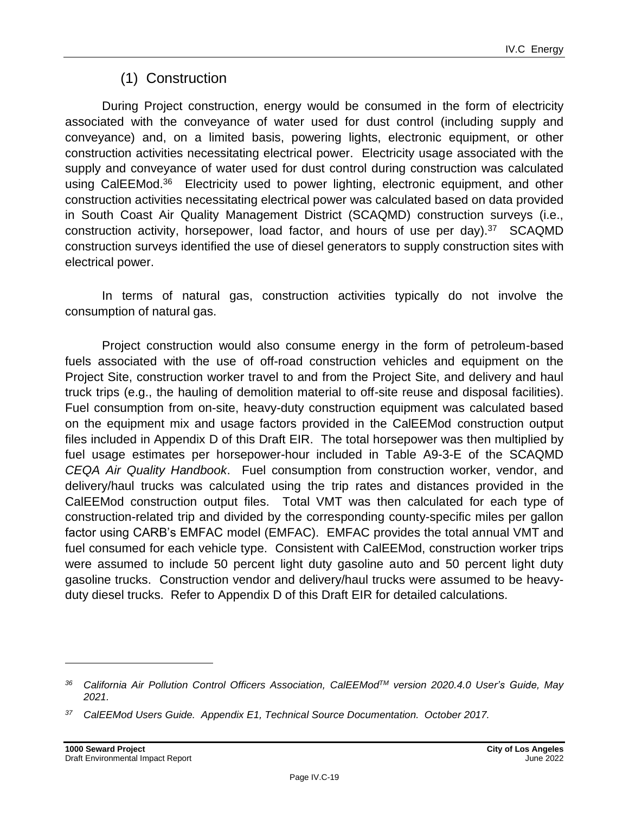## (1) Construction

During Project construction, energy would be consumed in the form of electricity associated with the conveyance of water used for dust control (including supply and conveyance) and, on a limited basis, powering lights, electronic equipment, or other construction activities necessitating electrical power. Electricity usage associated with the supply and conveyance of water used for dust control during construction was calculated using CalEEMod.<sup>36</sup> Electricity used to power lighting, electronic equipment, and other construction activities necessitating electrical power was calculated based on data provided in South Coast Air Quality Management District (SCAQMD) construction surveys (i.e., construction activity, horsepower, load factor, and hours of use per day). $37$  SCAQMD construction surveys identified the use of diesel generators to supply construction sites with electrical power.

In terms of natural gas, construction activities typically do not involve the consumption of natural gas.

Project construction would also consume energy in the form of petroleum-based fuels associated with the use of off-road construction vehicles and equipment on the Project Site, construction worker travel to and from the Project Site, and delivery and haul truck trips (e.g., the hauling of demolition material to off-site reuse and disposal facilities). Fuel consumption from on-site, heavy-duty construction equipment was calculated based on the equipment mix and usage factors provided in the CalEEMod construction output files included in Appendix D of this Draft EIR. The total horsepower was then multiplied by fuel usage estimates per horsepower-hour included in Table A9-3-E of the SCAQMD *CEQA Air Quality Handbook*. Fuel consumption from construction worker, vendor, and delivery/haul trucks was calculated using the trip rates and distances provided in the CalEEMod construction output files. Total VMT was then calculated for each type of construction-related trip and divided by the corresponding county-specific miles per gallon factor using CARB's EMFAC model (EMFAC). EMFAC provides the total annual VMT and fuel consumed for each vehicle type. Consistent with CalEEMod, construction worker trips were assumed to include 50 percent light duty gasoline auto and 50 percent light duty gasoline trucks. Construction vendor and delivery/haul trucks were assumed to be heavyduty diesel trucks. Refer to Appendix D of this Draft EIR for detailed calculations.

*<sup>36</sup> California Air Pollution Control Officers Association, CalEEModTM version 2020.4.0 User's Guide, May 2021.*

*<sup>37</sup> CalEEMod Users Guide. Appendix E1, Technical Source Documentation. October 2017.*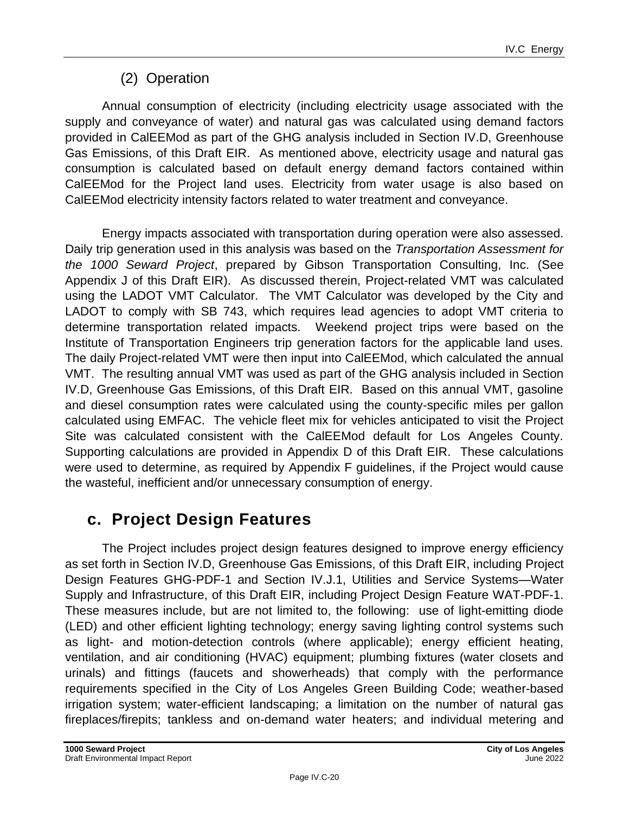## (2) Operation

Annual consumption of electricity (including electricity usage associated with the supply and conveyance of water) and natural gas was calculated using demand factors provided in CalEEMod as part of the GHG analysis included in Section IV.D, Greenhouse Gas Emissions, of this Draft EIR. As mentioned above, electricity usage and natural gas consumption is calculated based on default energy demand factors contained within CalEEMod for the Project land uses. Electricity from water usage is also based on CalEEMod electricity intensity factors related to water treatment and conveyance.

Energy impacts associated with transportation during operation were also assessed. Daily trip generation used in this analysis was based on the *Transportation Assessment for the 1000 Seward Project*, prepared by Gibson Transportation Consulting, Inc. (See Appendix J of this Draft EIR). As discussed therein, Project-related VMT was calculated using the LADOT VMT Calculator. The VMT Calculator was developed by the City and LADOT to comply with SB 743, which requires lead agencies to adopt VMT criteria to determine transportation related impacts. Weekend project trips were based on the Institute of Transportation Engineers trip generation factors for the applicable land uses. The daily Project-related VMT were then input into CalEEMod, which calculated the annual VMT. The resulting annual VMT was used as part of the GHG analysis included in Section IV.D, Greenhouse Gas Emissions, of this Draft EIR. Based on this annual VMT, gasoline and diesel consumption rates were calculated using the county-specific miles per gallon calculated using EMFAC. The vehicle fleet mix for vehicles anticipated to visit the Project Site was calculated consistent with the CalEEMod default for Los Angeles County. Supporting calculations are provided in Appendix D of this Draft EIR. These calculations were used to determine, as required by Appendix F guidelines, if the Project would cause the wasteful, inefficient and/or unnecessary consumption of energy.

## **c. Project Design Features**

The Project includes project design features designed to improve energy efficiency as set forth in Section IV.D, Greenhouse Gas Emissions, of this Draft EIR, including Project Design Features GHG-PDF-1 and Section IV.J.1, Utilities and Service Systems—Water Supply and Infrastructure, of this Draft EIR, including Project Design Feature WAT-PDF-1. These measures include, but are not limited to, the following: use of light-emitting diode (LED) and other efficient lighting technology; energy saving lighting control systems such as light- and motion-detection controls (where applicable); energy efficient heating, ventilation, and air conditioning (HVAC) equipment; plumbing fixtures (water closets and urinals) and fittings (faucets and showerheads) that comply with the performance requirements specified in the City of Los Angeles Green Building Code; weather-based irrigation system; water-efficient landscaping; a limitation on the number of natural gas fireplaces/firepits; tankless and on-demand water heaters; and individual metering and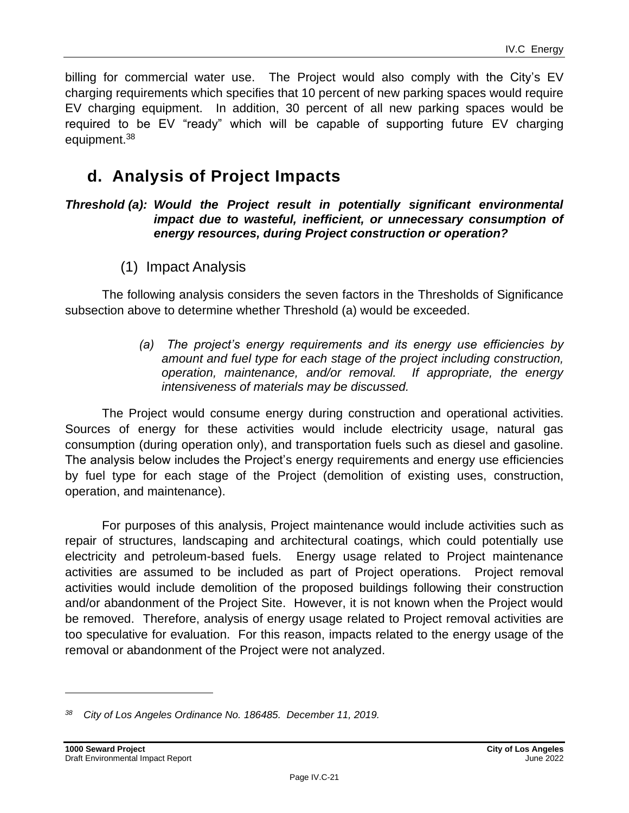billing for commercial water use. The Project would also comply with the City's EV charging requirements which specifies that 10 percent of new parking spaces would require EV charging equipment. In addition, 30 percent of all new parking spaces would be required to be EV "ready" which will be capable of supporting future EV charging equipment.<sup>38</sup>

## **d. Analysis of Project Impacts**

#### *Threshold (a): Would the Project result in potentially significant environmental impact due to wasteful, inefficient, or unnecessary consumption of energy resources, during Project construction or operation?*

(1) Impact Analysis

The following analysis considers the seven factors in the Thresholds of Significance subsection above to determine whether Threshold (a) would be exceeded.

> *(a) The project's energy requirements and its energy use efficiencies by amount and fuel type for each stage of the project including construction, operation, maintenance, and/or removal. If appropriate, the energy intensiveness of materials may be discussed.*

The Project would consume energy during construction and operational activities. Sources of energy for these activities would include electricity usage, natural gas consumption (during operation only), and transportation fuels such as diesel and gasoline. The analysis below includes the Project's energy requirements and energy use efficiencies by fuel type for each stage of the Project (demolition of existing uses, construction, operation, and maintenance).

For purposes of this analysis, Project maintenance would include activities such as repair of structures, landscaping and architectural coatings, which could potentially use electricity and petroleum-based fuels. Energy usage related to Project maintenance activities are assumed to be included as part of Project operations. Project removal activities would include demolition of the proposed buildings following their construction and/or abandonment of the Project Site. However, it is not known when the Project would be removed. Therefore, analysis of energy usage related to Project removal activities are too speculative for evaluation. For this reason, impacts related to the energy usage of the removal or abandonment of the Project were not analyzed.

*<sup>38</sup> City of Los Angeles Ordinance No. 186485. December 11, 2019.*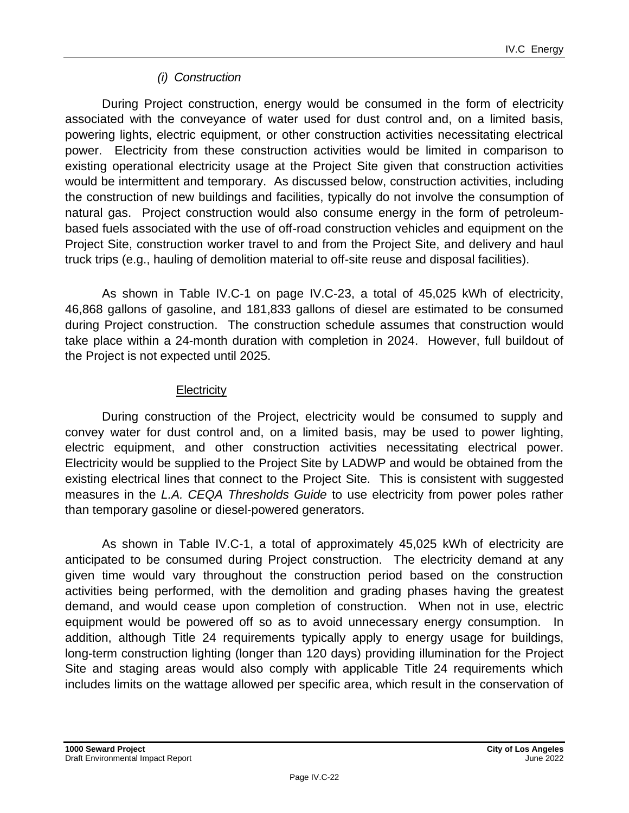#### *(i) Construction*

During Project construction, energy would be consumed in the form of electricity associated with the conveyance of water used for dust control and, on a limited basis, powering lights, electric equipment, or other construction activities necessitating electrical power. Electricity from these construction activities would be limited in comparison to existing operational electricity usage at the Project Site given that construction activities would be intermittent and temporary. As discussed below, construction activities, including the construction of new buildings and facilities, typically do not involve the consumption of natural gas. Project construction would also consume energy in the form of petroleumbased fuels associated with the use of off-road construction vehicles and equipment on the Project Site, construction worker travel to and from the Project Site, and delivery and haul truck trips (e.g., hauling of demolition material to off-site reuse and disposal facilities).

As shown in Table IV.C-1 on page [IV.C-23,](#page-22-0) a total of 45,025 kWh of electricity, 46,868 gallons of gasoline, and 181,833 gallons of diesel are estimated to be consumed during Project construction. The construction schedule assumes that construction would take place within a 24-month duration with completion in 2024. However, full buildout of the Project is not expected until 2025.

#### **Electricity**

During construction of the Project, electricity would be consumed to supply and convey water for dust control and, on a limited basis, may be used to power lighting, electric equipment, and other construction activities necessitating electrical power. Electricity would be supplied to the Project Site by LADWP and would be obtained from the existing electrical lines that connect to the Project Site. This is consistent with suggested measures in the *L.A. CEQA Thresholds Guide* to use electricity from power poles rather than temporary gasoline or diesel-powered generators.

As shown in Table IV.C-1, a total of approximately 45,025 kWh of electricity are anticipated to be consumed during Project construction. The electricity demand at any given time would vary throughout the construction period based on the construction activities being performed, with the demolition and grading phases having the greatest demand, and would cease upon completion of construction. When not in use, electric equipment would be powered off so as to avoid unnecessary energy consumption. In addition, although Title 24 requirements typically apply to energy usage for buildings, long-term construction lighting (longer than 120 days) providing illumination for the Project Site and staging areas would also comply with applicable Title 24 requirements which includes limits on the wattage allowed per specific area, which result in the conservation of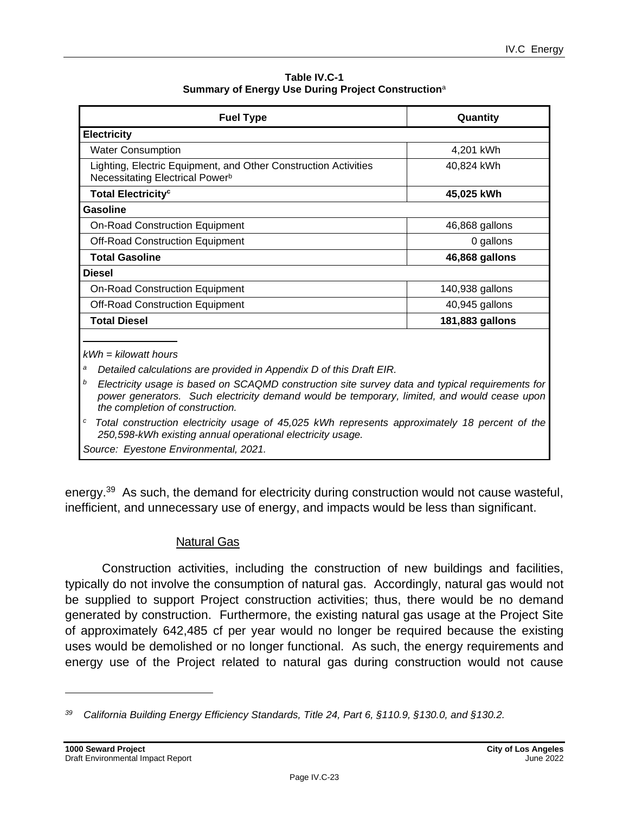**Table IV.C-1 Summary of Energy Use During Project Construction**<sup>a</sup>

<span id="page-22-0"></span>

| <b>Fuel Type</b>                                                                                               | Quantity        |
|----------------------------------------------------------------------------------------------------------------|-----------------|
| <b>Electricity</b>                                                                                             |                 |
| <b>Water Consumption</b>                                                                                       | 4,201 kWh       |
| Lighting, Electric Equipment, and Other Construction Activities<br>Necessitating Electrical Power <sup>b</sup> | 40,824 kWh      |
| <b>Total Electricity<sup>c</sup></b>                                                                           | 45,025 kWh      |
| Gasoline                                                                                                       |                 |
| <b>On-Road Construction Equipment</b>                                                                          | 46,868 gallons  |
| <b>Off-Road Construction Equipment</b>                                                                         | 0 gallons       |
| <b>Total Gasoline</b>                                                                                          | 46,868 gallons  |
| <b>Diesel</b>                                                                                                  |                 |
| <b>On-Road Construction Equipment</b>                                                                          | 140,938 gallons |
| <b>Off-Road Construction Equipment</b>                                                                         | 40,945 gallons  |
| <b>Total Diesel</b>                                                                                            | 181,883 gallons |

*<sup>a</sup> Detailed calculations are provided in Appendix D of this Draft EIR.*

*<sup>b</sup>Electricity usage is based on SCAQMD construction site survey data and typical requirements for power generators. Such electricity demand would be temporary, limited, and would cease upon the completion of construction.*

*<sup>c</sup>Total construction electricity usage of 45,025 kWh represents approximately 18 percent of the 250,598-kWh existing annual operational electricity usage.*

*Source: Eyestone Environmental, 2021.* 

energy.<sup>39</sup> As such, the demand for electricity during construction would not cause wasteful, inefficient, and unnecessary use of energy, and impacts would be less than significant.

#### Natural Gas

Construction activities, including the construction of new buildings and facilities, typically do not involve the consumption of natural gas. Accordingly, natural gas would not be supplied to support Project construction activities; thus, there would be no demand generated by construction. Furthermore, the existing natural gas usage at the Project Site of approximately 642,485 cf per year would no longer be required because the existing uses would be demolished or no longer functional. As such, the energy requirements and energy use of the Project related to natural gas during construction would not cause

*<sup>39</sup> California Building Energy Efficiency Standards, Title 24, Part 6, §110.9, §130.0, and §130.2.*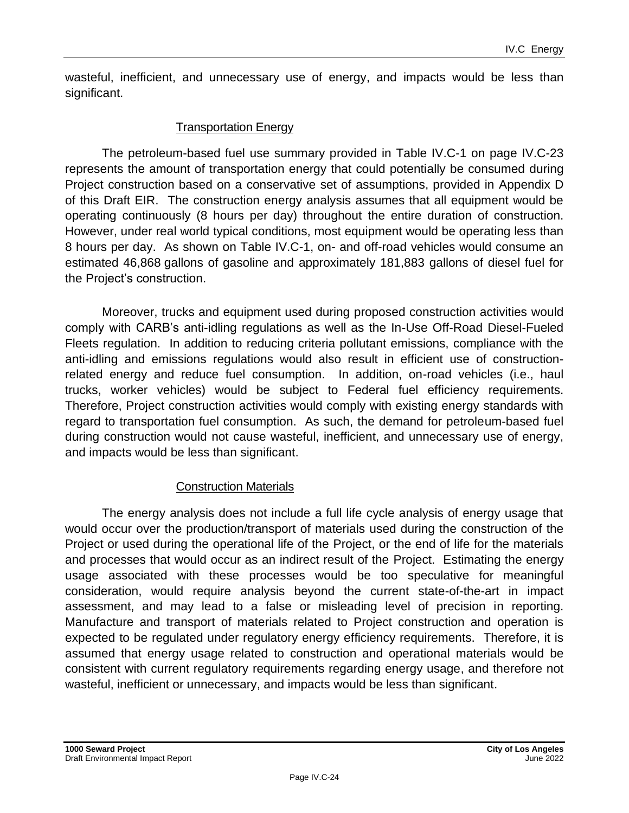wasteful, inefficient, and unnecessary use of energy, and impacts would be less than significant.

#### Transportation Energy

The petroleum-based fuel use summary provided in Table IV.C-1 on page [IV.C-23](#page-22-0) represents the amount of transportation energy that could potentially be consumed during Project construction based on a conservative set of assumptions, provided in Appendix D of this Draft EIR. The construction energy analysis assumes that all equipment would be operating continuously (8 hours per day) throughout the entire duration of construction. However, under real world typical conditions, most equipment would be operating less than 8 hours per day. As shown on Table IV.C-1, on- and off-road vehicles would consume an estimated 46,868 gallons of gasoline and approximately 181,883 gallons of diesel fuel for the Project's construction.

Moreover, trucks and equipment used during proposed construction activities would comply with CARB's anti-idling regulations as well as the In-Use Off-Road Diesel-Fueled Fleets regulation. In addition to reducing criteria pollutant emissions, compliance with the anti-idling and emissions regulations would also result in efficient use of constructionrelated energy and reduce fuel consumption. In addition, on-road vehicles (i.e., haul trucks, worker vehicles) would be subject to Federal fuel efficiency requirements. Therefore, Project construction activities would comply with existing energy standards with regard to transportation fuel consumption. As such, the demand for petroleum-based fuel during construction would not cause wasteful, inefficient, and unnecessary use of energy, and impacts would be less than significant.

#### Construction Materials

The energy analysis does not include a full life cycle analysis of energy usage that would occur over the production/transport of materials used during the construction of the Project or used during the operational life of the Project, or the end of life for the materials and processes that would occur as an indirect result of the Project. Estimating the energy usage associated with these processes would be too speculative for meaningful consideration, would require analysis beyond the current state-of-the-art in impact assessment, and may lead to a false or misleading level of precision in reporting. Manufacture and transport of materials related to Project construction and operation is expected to be regulated under regulatory energy efficiency requirements. Therefore, it is assumed that energy usage related to construction and operational materials would be consistent with current regulatory requirements regarding energy usage, and therefore not wasteful, inefficient or unnecessary, and impacts would be less than significant.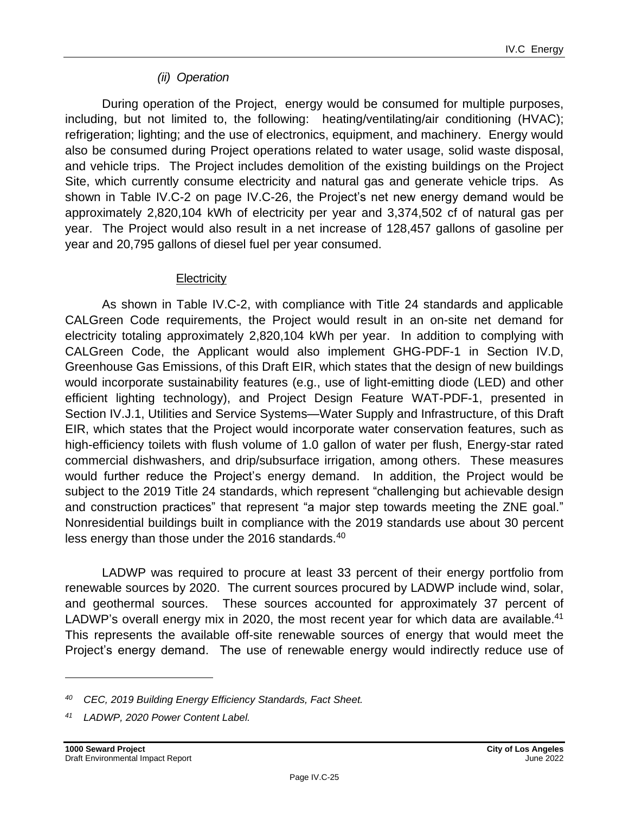#### *(ii) Operation*

During operation of the Project, energy would be consumed for multiple purposes, including, but not limited to, the following: heating/ventilating/air conditioning (HVAC); refrigeration; lighting; and the use of electronics, equipment, and machinery. Energy would also be consumed during Project operations related to water usage, solid waste disposal, and vehicle trips. The Project includes demolition of the existing buildings on the Project Site, which currently consume electricity and natural gas and generate vehicle trips. As shown in Table IV.C-2 on page IV.C-26, the Project's net new energy demand would be approximately 2,820,104 kWh of electricity per year and 3,374,502 cf of natural gas per year. The Project would also result in a net increase of 128,457 gallons of gasoline per year and 20,795 gallons of diesel fuel per year consumed.

#### **Electricity**

As shown in Table IV.C-2, with compliance with Title 24 standards and applicable CALGreen Code requirements, the Project would result in an on-site net demand for electricity totaling approximately 2,820,104 kWh per year. In addition to complying with CALGreen Code, the Applicant would also implement GHG-PDF-1 in Section IV.D, Greenhouse Gas Emissions, of this Draft EIR, which states that the design of new buildings would incorporate sustainability features (e.g., use of light-emitting diode (LED) and other efficient lighting technology), and Project Design Feature WAT-PDF-1, presented in Section IV.J.1, Utilities and Service Systems—Water Supply and Infrastructure, of this Draft EIR, which states that the Project would incorporate water conservation features, such as high-efficiency toilets with flush volume of 1.0 gallon of water per flush, Energy-star rated commercial dishwashers, and drip/subsurface irrigation, among others. These measures would further reduce the Project's energy demand. In addition, the Project would be subject to the 2019 Title 24 standards, which represent "challenging but achievable design and construction practices" that represent "a major step towards meeting the ZNE goal." Nonresidential buildings built in compliance with the 2019 standards use about 30 percent less energy than those under the 2016 standards.<sup>40</sup>

LADWP was required to procure at least 33 percent of their energy portfolio from renewable sources by 2020. The current sources procured by LADWP include wind, solar, and geothermal sources. These sources accounted for approximately 37 percent of LADWP's overall energy mix in 2020, the most recent year for which data are available.<sup>41</sup> This represents the available off-site renewable sources of energy that would meet the Project's energy demand. The use of renewable energy would indirectly reduce use of

*<sup>40</sup> CEC, 2019 Building Energy Efficiency Standards, Fact Sheet.*

*<sup>41</sup> LADWP, 2020 Power Content Label.*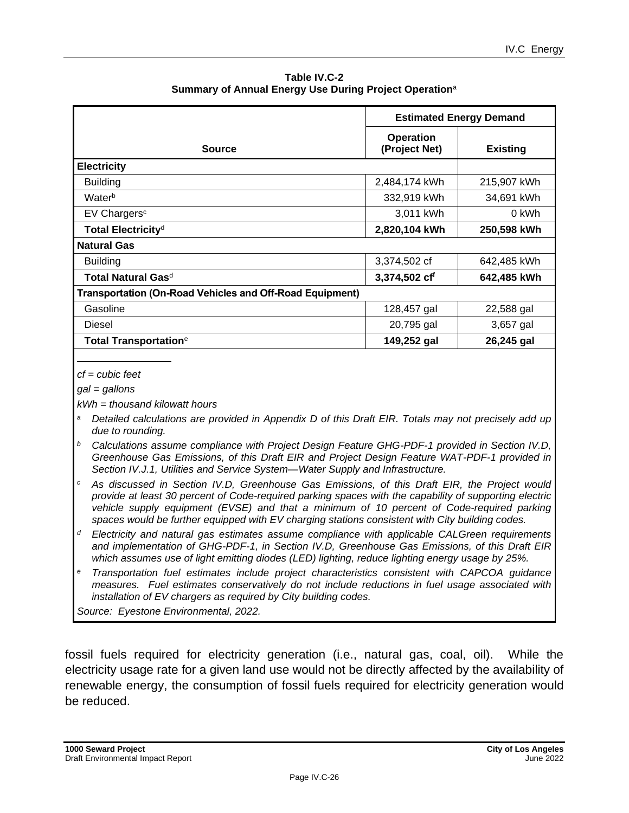**Table IV.C-2 Summary of Annual Energy Use During Project Operation**<sup>a</sup>

|                                                                 | <b>Estimated Energy Demand</b>    |                 |  |
|-----------------------------------------------------------------|-----------------------------------|-----------------|--|
| <b>Source</b>                                                   | <b>Operation</b><br>(Project Net) | <b>Existing</b> |  |
| <b>Electricity</b>                                              |                                   |                 |  |
| <b>Building</b>                                                 | 2,484,174 kWh                     | 215,907 kWh     |  |
| Waterb                                                          | 332,919 kWh                       | 34,691 kWh      |  |
| EV Chargers <sup>c</sup>                                        | 3,011 kWh                         | 0 kWh           |  |
| Total Electricity <sup>d</sup>                                  | 2,820,104 kWh                     | 250,598 kWh     |  |
| <b>Natural Gas</b>                                              |                                   |                 |  |
| <b>Building</b>                                                 | 3,374,502 cf                      | 642,485 kWh     |  |
| Total Natural Gas <sup>d</sup>                                  | 3,374,502 cff                     | 642,485 kWh     |  |
| <b>Transportation (On-Road Vehicles and Off-Road Equipment)</b> |                                   |                 |  |
| Gasoline                                                        | 128,457 gal                       | 22,588 gal      |  |
| Diesel                                                          | 20,795 gal                        | 3,657 gal       |  |
| <b>Total Transportation</b> <sup>e</sup>                        | 149,252 gal                       | 26,245 gal      |  |

*cf = cubic feet*

*gal = gallons*

*kWh = thousand kilowatt hours*

- *<sup>a</sup> Detailed calculations are provided in Appendix D of this Draft EIR. Totals may not precisely add up due to rounding.*
- *<sup>b</sup> Calculations assume compliance with Project Design Feature GHG-PDF-1 provided in Section IV.D, Greenhouse Gas Emissions, of this Draft EIR and Project Design Feature WAT-PDF-1 provided in Section IV.J.1, Utilities and Service System—Water Supply and Infrastructure.*
- *<sup>c</sup> As discussed in Section IV.D, Greenhouse Gas Emissions, of this Draft EIR, the Project would provide at least 30 percent of Code-required parking spaces with the capability of supporting electric vehicle supply equipment (EVSE) and that a minimum of 10 percent of Code-required parking spaces would be further equipped with EV charging stations consistent with City building codes.*
- *<sup>d</sup> Electricity and natural gas estimates assume compliance with applicable CALGreen requirements and implementation of GHG-PDF-1, in Section IV.D, Greenhouse Gas Emissions, of this Draft EIR which assumes use of light emitting diodes (LED) lighting, reduce lighting energy usage by 25%.*
- *<sup>e</sup> Transportation fuel estimates include project characteristics consistent with CAPCOA guidance measures. Fuel estimates conservatively do not include reductions in fuel usage associated with installation of EV chargers as required by City building codes.*

*Source: Eyestone Environmental, 2022.* 

fossil fuels required for electricity generation (i.e., natural gas, coal, oil). While the electricity usage rate for a given land use would not be directly affected by the availability of renewable energy, the consumption of fossil fuels required for electricity generation would be reduced.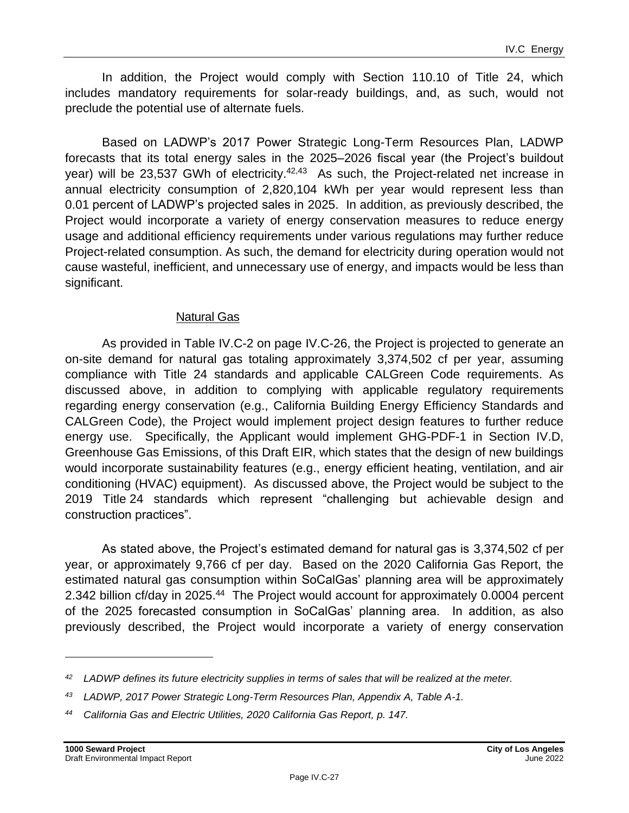In addition, the Project would comply with Section 110.10 of Title 24, which includes mandatory requirements for solar-ready buildings, and, as such, would not preclude the potential use of alternate fuels.

Based on LADWP's 2017 Power Strategic Long-Term Resources Plan, LADWP forecasts that its total energy sales in the 2025–2026 fiscal year (the Project's buildout year) will be 23,537 GWh of electricity.<sup>42,43</sup> As such, the Project-related net increase in annual electricity consumption of 2,820,104 kWh per year would represent less than 0.01 percent of LADWP's projected sales in 2025. In addition, as previously described, the Project would incorporate a variety of energy conservation measures to reduce energy usage and additional efficiency requirements under various regulations may further reduce Project-related consumption. As such, the demand for electricity during operation would not cause wasteful, inefficient, and unnecessary use of energy, and impacts would be less than significant.

#### Natural Gas

As provided in Table IV.C-2 on page IV.C-26, the Project is projected to generate an on-site demand for natural gas totaling approximately 3,374,502 cf per year, assuming compliance with Title 24 standards and applicable CALGreen Code requirements. As discussed above, in addition to complying with applicable regulatory requirements regarding energy conservation (e.g., California Building Energy Efficiency Standards and CALGreen Code), the Project would implement project design features to further reduce energy use. Specifically, the Applicant would implement GHG-PDF-1 in Section IV.D, Greenhouse Gas Emissions, of this Draft EIR, which states that the design of new buildings would incorporate sustainability features (e.g., energy efficient heating, ventilation, and air conditioning (HVAC) equipment). As discussed above, the Project would be subject to the 2019 Title 24 standards which represent "challenging but achievable design and construction practices".

As stated above, the Project's estimated demand for natural gas is 3,374,502 cf per year, or approximately 9,766 cf per day. Based on the 2020 California Gas Report, the estimated natural gas consumption within SoCalGas' planning area will be approximately 2.342 billion cf/day in 2025.<sup>44</sup> The Project would account for approximately 0.0004 percent of the 2025 forecasted consumption in SoCalGas' planning area. In addition, as also previously described, the Project would incorporate a variety of energy conservation

*<sup>42</sup> LADWP defines its future electricity supplies in terms of sales that will be realized at the meter.*

*<sup>43</sup> LADWP, 2017 Power Strategic Long-Term Resources Plan, Appendix A, Table A-1.*

*<sup>44</sup> California Gas and Electric Utilities, 2020 California Gas Report, p. 147.*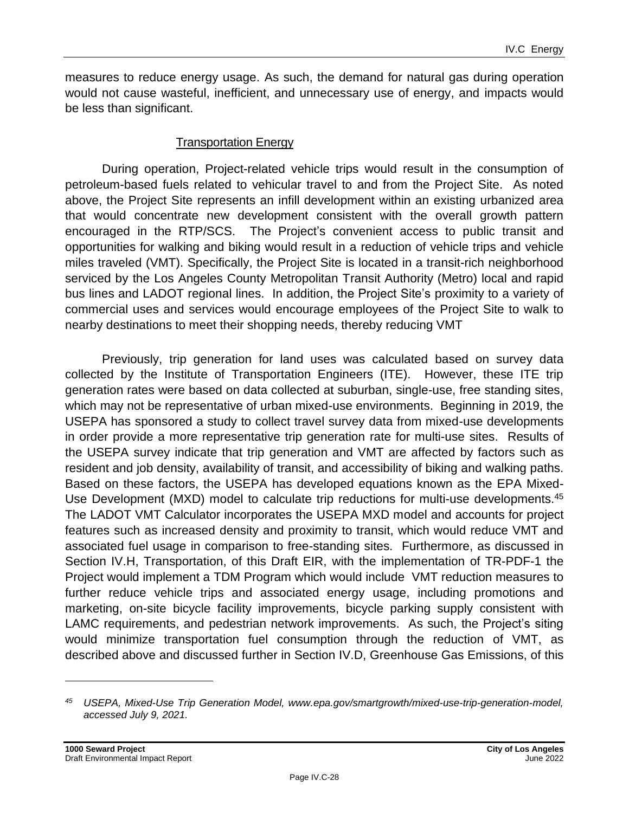measures to reduce energy usage. As such, the demand for natural gas during operation would not cause wasteful, inefficient, and unnecessary use of energy, and impacts would be less than significant.

#### Transportation Energy

During operation, Project-related vehicle trips would result in the consumption of petroleum-based fuels related to vehicular travel to and from the Project Site. As noted above, the Project Site represents an infill development within an existing urbanized area that would concentrate new development consistent with the overall growth pattern encouraged in the RTP/SCS. The Project's convenient access to public transit and opportunities for walking and biking would result in a reduction of vehicle trips and vehicle miles traveled (VMT). Specifically, the Project Site is located in a transit-rich neighborhood serviced by the Los Angeles County Metropolitan Transit Authority (Metro) local and rapid bus lines and LADOT regional lines. In addition, the Project Site's proximity to a variety of commercial uses and services would encourage employees of the Project Site to walk to nearby destinations to meet their shopping needs, thereby reducing VMT

Previously, trip generation for land uses was calculated based on survey data collected by the Institute of Transportation Engineers (ITE). However, these ITE trip generation rates were based on data collected at suburban, single-use, free standing sites, which may not be representative of urban mixed-use environments. Beginning in 2019, the USEPA has sponsored a study to collect travel survey data from mixed-use developments in order provide a more representative trip generation rate for multi-use sites. Results of the USEPA survey indicate that trip generation and VMT are affected by factors such as resident and job density, availability of transit, and accessibility of biking and walking paths. Based on these factors, the USEPA has developed equations known as the EPA Mixed-Use Development (MXD) model to calculate trip reductions for multi-use developments.<sup>45</sup> The LADOT VMT Calculator incorporates the USEPA MXD model and accounts for project features such as increased density and proximity to transit, which would reduce VMT and associated fuel usage in comparison to free-standing sites. Furthermore, as discussed in Section IV.H, Transportation, of this Draft EIR, with the implementation of TR-PDF-1 the Project would implement a TDM Program which would include VMT reduction measures to further reduce vehicle trips and associated energy usage, including promotions and marketing, on-site bicycle facility improvements, bicycle parking supply consistent with LAMC requirements, and pedestrian network improvements. As such, the Project's siting would minimize transportation fuel consumption through the reduction of VMT, as described above and discussed further in Section IV.D, Greenhouse Gas Emissions, of this

*<sup>45</sup> USEPA, Mixed-Use Trip Generation Model, www.epa.gov/smartgrowth/mixed-use-trip-generation-model, accessed July 9, 2021.*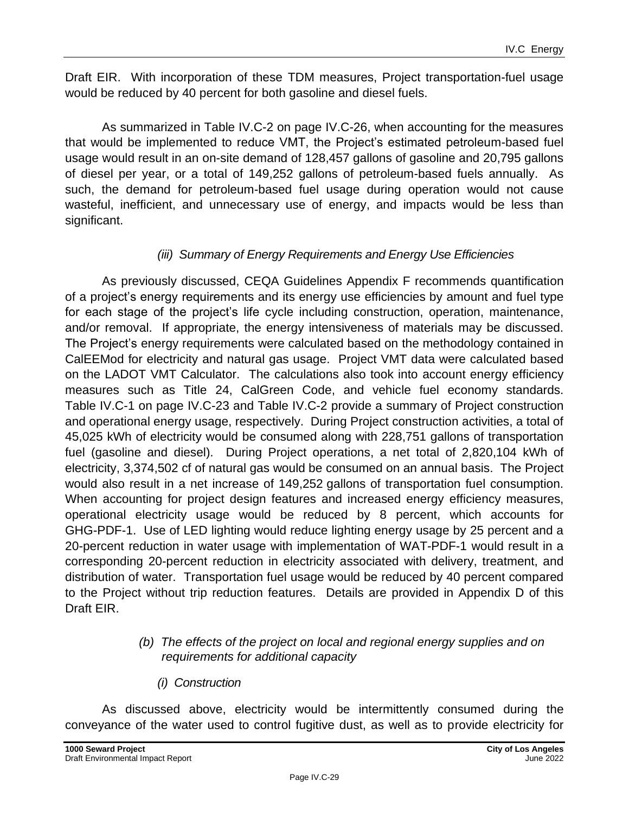Draft EIR. With incorporation of these TDM measures, Project transportation-fuel usage would be reduced by 40 percent for both gasoline and diesel fuels.

As summarized in Table IV.C-2 on page IV.C-26, when accounting for the measures that would be implemented to reduce VMT, the Project's estimated petroleum-based fuel usage would result in an on-site demand of 128,457 gallons of gasoline and 20,795 gallons of diesel per year, or a total of 149,252 gallons of petroleum-based fuels annually. As such, the demand for petroleum-based fuel usage during operation would not cause wasteful, inefficient, and unnecessary use of energy, and impacts would be less than significant.

#### *(iii) Summary of Energy Requirements and Energy Use Efficiencies*

As previously discussed, CEQA Guidelines Appendix F recommends quantification of a project's energy requirements and its energy use efficiencies by amount and fuel type for each stage of the project's life cycle including construction, operation, maintenance, and/or removal. If appropriate, the energy intensiveness of materials may be discussed. The Project's energy requirements were calculated based on the methodology contained in CalEEMod for electricity and natural gas usage. Project VMT data were calculated based on the LADOT VMT Calculator. The calculations also took into account energy efficiency measures such as Title 24, CalGreen Code, and vehicle fuel economy standards. Table IV.C-1 on page [IV.C-23](#page-22-0) and Table IV.C-2 provide a summary of Project construction and operational energy usage, respectively. During Project construction activities, a total of 45,025 kWh of electricity would be consumed along with 228,751 gallons of transportation fuel (gasoline and diesel). During Project operations, a net total of 2,820,104 kWh of electricity, 3,374,502 cf of natural gas would be consumed on an annual basis. The Project would also result in a net increase of 149,252 gallons of transportation fuel consumption. When accounting for project design features and increased energy efficiency measures, operational electricity usage would be reduced by 8 percent, which accounts for GHG-PDF-1. Use of LED lighting would reduce lighting energy usage by 25 percent and a 20-percent reduction in water usage with implementation of WAT-PDF-1 would result in a corresponding 20-percent reduction in electricity associated with delivery, treatment, and distribution of water. Transportation fuel usage would be reduced by 40 percent compared to the Project without trip reduction features. Details are provided in Appendix D of this Draft EIR.

#### *(b) The effects of the project on local and regional energy supplies and on requirements for additional capacity*

*(i) Construction*

As discussed above, electricity would be intermittently consumed during the conveyance of the water used to control fugitive dust, as well as to provide electricity for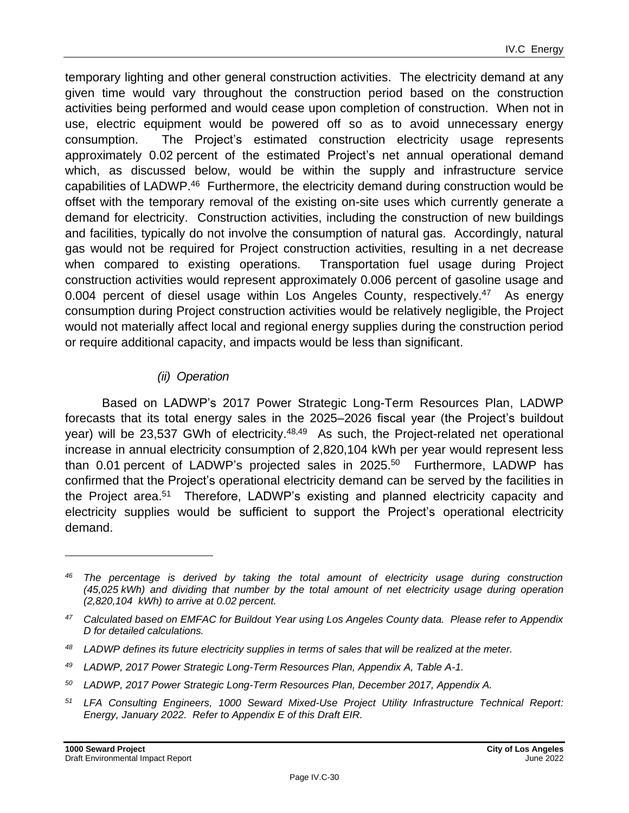temporary lighting and other general construction activities. The electricity demand at any given time would vary throughout the construction period based on the construction activities being performed and would cease upon completion of construction. When not in use, electric equipment would be powered off so as to avoid unnecessary energy consumption. The Project's estimated construction electricity usage represents approximately 0.02 percent of the estimated Project's net annual operational demand which, as discussed below, would be within the supply and infrastructure service capabilities of LADWP.<sup>46</sup> Furthermore, the electricity demand during construction would be offset with the temporary removal of the existing on-site uses which currently generate a demand for electricity. Construction activities, including the construction of new buildings and facilities, typically do not involve the consumption of natural gas. Accordingly, natural gas would not be required for Project construction activities, resulting in a net decrease when compared to existing operations. Transportation fuel usage during Project construction activities would represent approximately 0.006 percent of gasoline usage and 0.004 percent of diesel usage within Los Angeles County, respectively.<sup>47</sup> As energy consumption during Project construction activities would be relatively negligible, the Project would not materially affect local and regional energy supplies during the construction period or require additional capacity, and impacts would be less than significant.

#### *(ii) Operation*

Based on LADWP's 2017 Power Strategic Long-Term Resources Plan, LADWP forecasts that its total energy sales in the 2025–2026 fiscal year (the Project's buildout year) will be 23,537 GWh of electricity.<sup>48,49</sup> As such, the Project-related net operational increase in annual electricity consumption of 2,820,104 kWh per year would represent less than 0.01 percent of LADWP's projected sales in 2025.<sup>50</sup> Furthermore, LADWP has confirmed that the Project's operational electricity demand can be served by the facilities in the Project area.<sup>51</sup> Therefore, LADWP's existing and planned electricity capacity and electricity supplies would be sufficient to support the Project's operational electricity demand.

- *<sup>48</sup> LADWP defines its future electricity supplies in terms of sales that will be realized at the meter.*
- *<sup>49</sup> LADWP, 2017 Power Strategic Long-Term Resources Plan, Appendix A, Table A-1.*
- *<sup>50</sup> LADWP, 2017 Power Strategic Long-Term Resources Plan, December 2017, Appendix A.*
- *<sup>51</sup> LFA Consulting Engineers, 1000 Seward Mixed-Use Project Utility Infrastructure Technical Report: Energy, January 2022. Refer to Appendix E of this Draft EIR.*

*<sup>46</sup> The percentage is derived by taking the total amount of electricity usage during construction (45,025 kWh) and dividing that number by the total amount of net electricity usage during operation (2,820,104 kWh) to arrive at 0.02 percent.*

*<sup>47</sup> Calculated based on EMFAC for Buildout Year using Los Angeles County data. Please refer to Appendix D for detailed calculations.*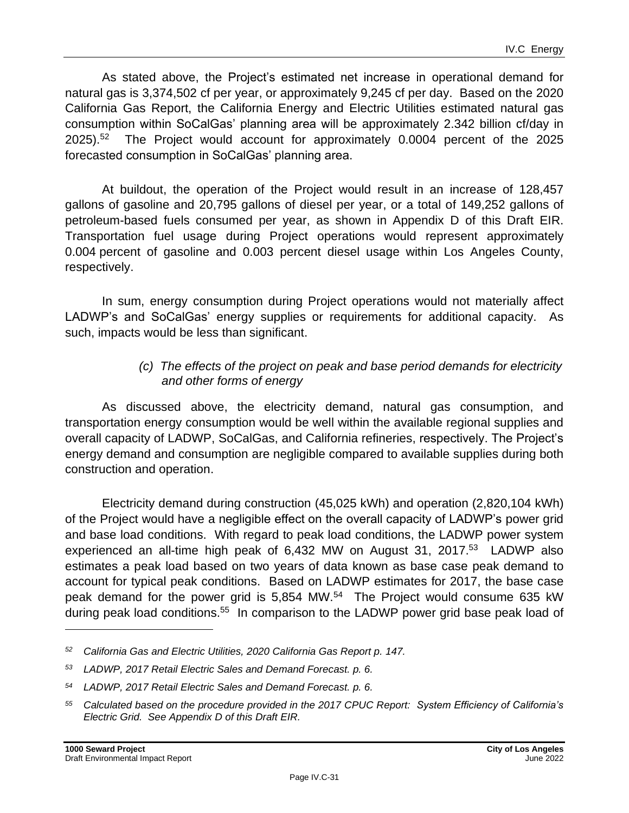As stated above, the Project's estimated net increase in operational demand for natural gas is 3,374,502 cf per year, or approximately 9,245 cf per day. Based on the 2020 California Gas Report, the California Energy and Electric Utilities estimated natural gas consumption within SoCalGas' planning area will be approximately 2.342 billion cf/day in 2025). 52 The Project would account for approximately 0.0004 percent of the 2025 forecasted consumption in SoCalGas' planning area.

At buildout, the operation of the Project would result in an increase of 128,457 gallons of gasoline and 20,795 gallons of diesel per year, or a total of 149,252 gallons of petroleum-based fuels consumed per year, as shown in Appendix D of this Draft EIR. Transportation fuel usage during Project operations would represent approximately 0.004 percent of gasoline and 0.003 percent diesel usage within Los Angeles County, respectively.

In sum, energy consumption during Project operations would not materially affect LADWP's and SoCalGas' energy supplies or requirements for additional capacity. As such, impacts would be less than significant.

#### *(c) The effects of the project on peak and base period demands for electricity and other forms of energy*

As discussed above, the electricity demand, natural gas consumption, and transportation energy consumption would be well within the available regional supplies and overall capacity of LADWP, SoCalGas, and California refineries, respectively. The Project's energy demand and consumption are negligible compared to available supplies during both construction and operation.

Electricity demand during construction (45,025 kWh) and operation (2,820,104 kWh) of the Project would have a negligible effect on the overall capacity of LADWP's power grid and base load conditions. With regard to peak load conditions, the LADWP power system experienced an all-time high peak of 6,432 MW on August 31, 2017.<sup>53</sup> LADWP also estimates a peak load based on two years of data known as base case peak demand to account for typical peak conditions. Based on LADWP estimates for 2017, the base case peak demand for the power grid is 5,854 MW.<sup>54</sup> The Project would consume 635 kW during peak load conditions.<sup>55</sup> In comparison to the LADWP power grid base peak load of

*<sup>52</sup> California Gas and Electric Utilities, 2020 California Gas Report p. 147.*

*<sup>53</sup> LADWP, 2017 Retail Electric Sales and Demand Forecast. p. 6.*

*<sup>54</sup> LADWP, 2017 Retail Electric Sales and Demand Forecast. p. 6.*

*<sup>55</sup> Calculated based on the procedure provided in the 2017 CPUC Report: System Efficiency of California's Electric Grid. See Appendix D of this Draft EIR.*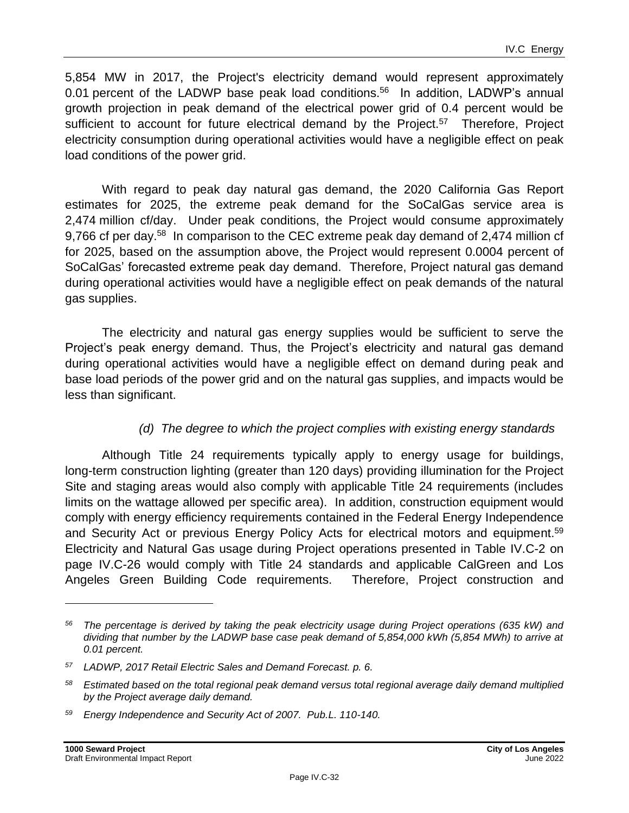5,854 MW in 2017, the Project's electricity demand would represent approximately 0.01 percent of the LADWP base peak load conditions.<sup>56</sup> In addition, LADWP's annual growth projection in peak demand of the electrical power grid of 0.4 percent would be sufficient to account for future electrical demand by the Project.<sup>57</sup> Therefore, Project electricity consumption during operational activities would have a negligible effect on peak load conditions of the power grid.

With regard to peak day natural gas demand, the 2020 California Gas Report estimates for 2025, the extreme peak demand for the SoCalGas service area is 2,474 million cf/day. Under peak conditions, the Project would consume approximately 9,766 cf per day.<sup>58</sup> In comparison to the CEC extreme peak day demand of 2,474 million cf for 2025, based on the assumption above, the Project would represent 0.0004 percent of SoCalGas' forecasted extreme peak day demand. Therefore, Project natural gas demand during operational activities would have a negligible effect on peak demands of the natural gas supplies.

The electricity and natural gas energy supplies would be sufficient to serve the Project's peak energy demand. Thus, the Project's electricity and natural gas demand during operational activities would have a negligible effect on demand during peak and base load periods of the power grid and on the natural gas supplies, and impacts would be less than significant.

#### *(d) The degree to which the project complies with existing energy standards*

Although Title 24 requirements typically apply to energy usage for buildings, long-term construction lighting (greater than 120 days) providing illumination for the Project Site and staging areas would also comply with applicable Title 24 requirements (includes limits on the wattage allowed per specific area). In addition, construction equipment would comply with energy efficiency requirements contained in the Federal Energy Independence and Security Act or previous Energy Policy Acts for electrical motors and equipment.<sup>59</sup> Electricity and Natural Gas usage during Project operations presented in Table IV.C-2 on page IV.C-26 would comply with Title 24 standards and applicable CalGreen and Los Angeles Green Building Code requirements. Therefore, Project construction and

*<sup>56</sup> The percentage is derived by taking the peak electricity usage during Project operations (635 kW) and dividing that number by the LADWP base case peak demand of 5,854,000 kWh (5,854 MWh) to arrive at 0.01 percent.*

*<sup>57</sup> LADWP, 2017 Retail Electric Sales and Demand Forecast. p. 6.*

*<sup>58</sup> Estimated based on the total regional peak demand versus total regional average daily demand multiplied by the Project average daily demand.*

*<sup>59</sup> Energy Independence and Security Act of 2007. Pub.L. 110-140.*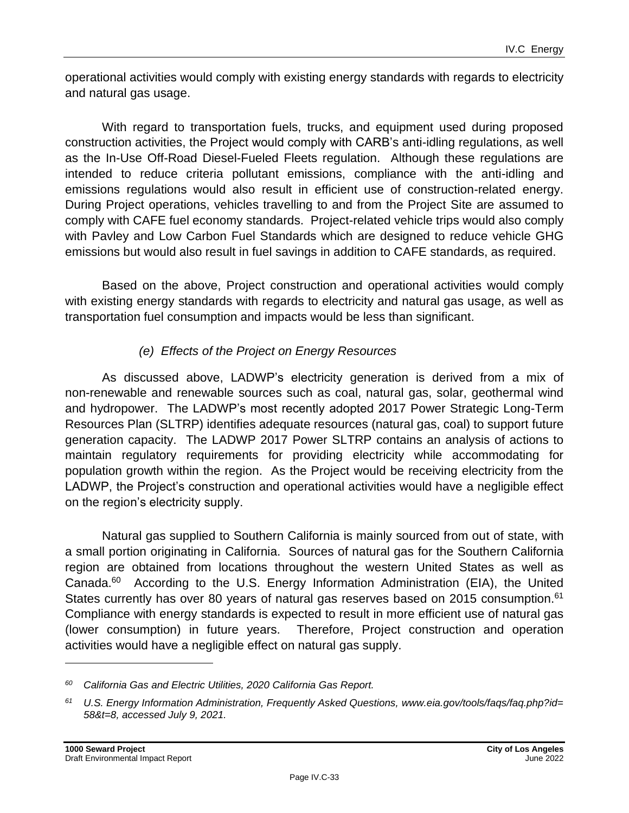operational activities would comply with existing energy standards with regards to electricity and natural gas usage.

With regard to transportation fuels, trucks, and equipment used during proposed construction activities, the Project would comply with CARB's anti-idling regulations, as well as the In-Use Off-Road Diesel-Fueled Fleets regulation. Although these regulations are intended to reduce criteria pollutant emissions, compliance with the anti-idling and emissions regulations would also result in efficient use of construction-related energy. During Project operations, vehicles travelling to and from the Project Site are assumed to comply with CAFE fuel economy standards. Project-related vehicle trips would also comply with Pavley and Low Carbon Fuel Standards which are designed to reduce vehicle GHG emissions but would also result in fuel savings in addition to CAFE standards, as required.

Based on the above, Project construction and operational activities would comply with existing energy standards with regards to electricity and natural gas usage, as well as transportation fuel consumption and impacts would be less than significant.

#### *(e) Effects of the Project on Energy Resources*

As discussed above, LADWP's electricity generation is derived from a mix of non-renewable and renewable sources such as coal, natural gas, solar, geothermal wind and hydropower. The LADWP's most recently adopted 2017 Power Strategic Long-Term Resources Plan (SLTRP) identifies adequate resources (natural gas, coal) to support future generation capacity. The LADWP 2017 Power SLTRP contains an analysis of actions to maintain regulatory requirements for providing electricity while accommodating for population growth within the region. As the Project would be receiving electricity from the LADWP, the Project's construction and operational activities would have a negligible effect on the region's electricity supply.

Natural gas supplied to Southern California is mainly sourced from out of state, with a small portion originating in California. Sources of natural gas for the Southern California region are obtained from locations throughout the western United States as well as Canada.<sup>60</sup> According to the U.S. Energy Information Administration (EIA), the United States currently has over 80 years of natural gas reserves based on 2015 consumption.<sup>61</sup> Compliance with energy standards is expected to result in more efficient use of natural gas (lower consumption) in future years. Therefore, Project construction and operation activities would have a negligible effect on natural gas supply.

*<sup>60</sup> California Gas and Electric Utilities, 2020 California Gas Report.*

*<sup>61</sup> U.S. Energy Information Administration, Frequently Asked Questions, www.eia.gov/tools/faqs/faq.php?id= 58&t=8, accessed July 9, 2021.*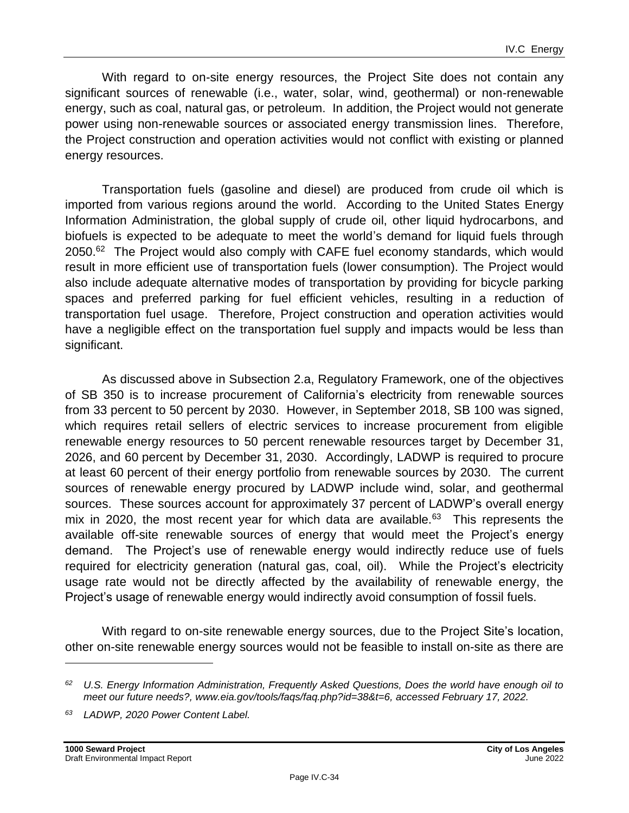With regard to on-site energy resources, the Project Site does not contain any significant sources of renewable (i.e., water, solar, wind, geothermal) or non-renewable energy, such as coal, natural gas, or petroleum. In addition, the Project would not generate power using non-renewable sources or associated energy transmission lines. Therefore, the Project construction and operation activities would not conflict with existing or planned energy resources.

Transportation fuels (gasoline and diesel) are produced from crude oil which is imported from various regions around the world. According to the United States Energy Information Administration, the global supply of crude oil, other liquid hydrocarbons, and biofuels is expected to be adequate to meet the world's demand for liquid fuels through 2050.<sup>62</sup> The Project would also comply with CAFE fuel economy standards, which would result in more efficient use of transportation fuels (lower consumption). The Project would also include adequate alternative modes of transportation by providing for bicycle parking spaces and preferred parking for fuel efficient vehicles, resulting in a reduction of transportation fuel usage. Therefore, Project construction and operation activities would have a negligible effect on the transportation fuel supply and impacts would be less than significant.

As discussed above in Subsection 2.a, Regulatory Framework, one of the objectives of SB 350 is to increase procurement of California's electricity from renewable sources from 33 percent to 50 percent by 2030. However, in September 2018, SB 100 was signed, which requires retail sellers of electric services to increase procurement from eligible renewable energy resources to 50 percent renewable resources target by December 31, 2026, and 60 percent by December 31, 2030. Accordingly, LADWP is required to procure at least 60 percent of their energy portfolio from renewable sources by 2030. The current sources of renewable energy procured by LADWP include wind, solar, and geothermal sources. These sources account for approximately 37 percent of LADWP's overall energy mix in 2020, the most recent year for which data are available. $^{63}$  This represents the available off-site renewable sources of energy that would meet the Project's energy demand. The Project's use of renewable energy would indirectly reduce use of fuels required for electricity generation (natural gas, coal, oil). While the Project's electricity usage rate would not be directly affected by the availability of renewable energy, the Project's usage of renewable energy would indirectly avoid consumption of fossil fuels.

With regard to on-site renewable energy sources, due to the Project Site's location, other on-site renewable energy sources would not be feasible to install on-site as there are

*<sup>62</sup> U.S. Energy Information Administration, Frequently Asked Questions, Does the world have enough oil to meet our future needs?, www.eia.gov/tools/faqs/faq.php?id=38&t=6, accessed February 17, 2022.*

*<sup>63</sup> LADWP, 2020 Power Content Label.*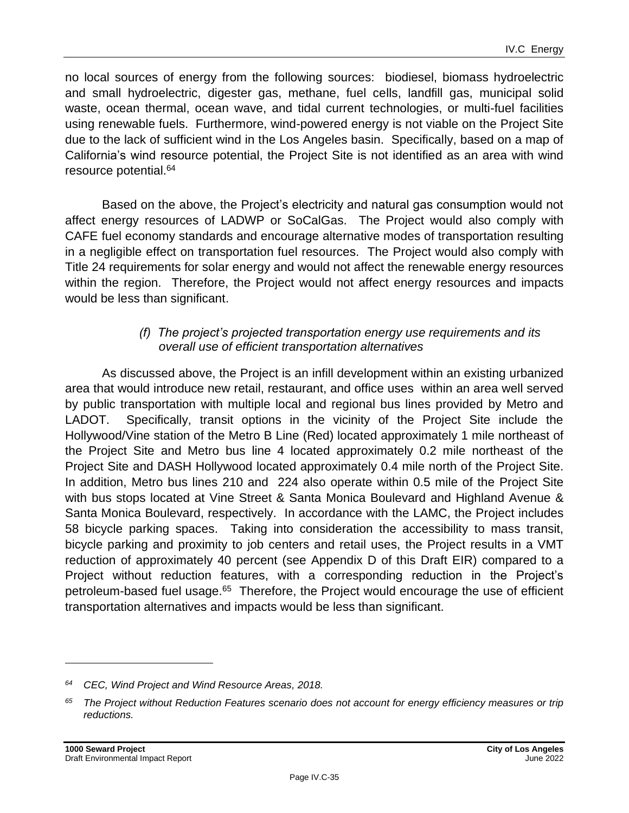no local sources of energy from the following sources: biodiesel, biomass hydroelectric and small hydroelectric, digester gas, methane, fuel cells, landfill gas, municipal solid waste, ocean thermal, ocean wave, and tidal current technologies, or multi-fuel facilities using renewable fuels. Furthermore, wind-powered energy is not viable on the Project Site due to the lack of sufficient wind in the Los Angeles basin. Specifically, based on a map of California's wind resource potential, the Project Site is not identified as an area with wind resource potential.<sup>64</sup>

Based on the above, the Project's electricity and natural gas consumption would not affect energy resources of LADWP or SoCalGas. The Project would also comply with CAFE fuel economy standards and encourage alternative modes of transportation resulting in a negligible effect on transportation fuel resources. The Project would also comply with Title 24 requirements for solar energy and would not affect the renewable energy resources within the region. Therefore, the Project would not affect energy resources and impacts would be less than significant.

#### *(f) The project's projected transportation energy use requirements and its overall use of efficient transportation alternatives*

As discussed above, the Project is an infill development within an existing urbanized area that would introduce new retail, restaurant, and office uses within an area well served by public transportation with multiple local and regional bus lines provided by Metro and LADOT. Specifically, transit options in the vicinity of the Project Site include the Hollywood/Vine station of the Metro B Line (Red) located approximately 1 mile northeast of the Project Site and Metro bus line 4 located approximately 0.2 mile northeast of the Project Site and DASH Hollywood located approximately 0.4 mile north of the Project Site. In addition, Metro bus lines 210 and 224 also operate within 0.5 mile of the Project Site with bus stops located at Vine Street & Santa Monica Boulevard and Highland Avenue & Santa Monica Boulevard, respectively. In accordance with the LAMC, the Project includes 58 bicycle parking spaces. Taking into consideration the accessibility to mass transit, bicycle parking and proximity to job centers and retail uses, the Project results in a VMT reduction of approximately 40 percent (see Appendix D of this Draft EIR) compared to a Project without reduction features, with a corresponding reduction in the Project's petroleum-based fuel usage.<sup>65</sup> Therefore, the Project would encourage the use of efficient transportation alternatives and impacts would be less than significant.

*<sup>64</sup> CEC, Wind Project and Wind Resource Areas, 2018.*

*<sup>65</sup> The Project without Reduction Features scenario does not account for energy efficiency measures or trip reductions.*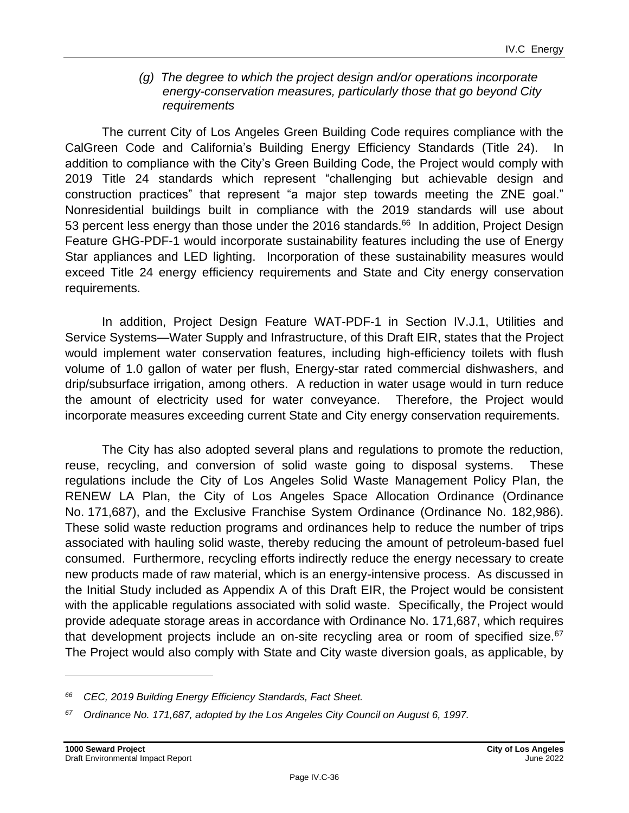#### *(g) The degree to which the project design and/or operations incorporate energy-conservation measures, particularly those that go beyond City requirements*

The current City of Los Angeles Green Building Code requires compliance with the CalGreen Code and California's Building Energy Efficiency Standards (Title 24). In addition to compliance with the City's Green Building Code, the Project would comply with 2019 Title 24 standards which represent "challenging but achievable design and construction practices" that represent "a major step towards meeting the ZNE goal." Nonresidential buildings built in compliance with the 2019 standards will use about 53 percent less energy than those under the 2016 standards.<sup>66</sup> In addition, Project Design Feature GHG-PDF-1 would incorporate sustainability features including the use of Energy Star appliances and LED lighting. Incorporation of these sustainability measures would exceed Title 24 energy efficiency requirements and State and City energy conservation requirements.

In addition, Project Design Feature WAT-PDF-1 in Section IV.J.1, Utilities and Service Systems—Water Supply and Infrastructure, of this Draft EIR, states that the Project would implement water conservation features, including high-efficiency toilets with flush volume of 1.0 gallon of water per flush, Energy-star rated commercial dishwashers, and drip/subsurface irrigation, among others. A reduction in water usage would in turn reduce the amount of electricity used for water conveyance. Therefore, the Project would incorporate measures exceeding current State and City energy conservation requirements.

The City has also adopted several plans and regulations to promote the reduction, reuse, recycling, and conversion of solid waste going to disposal systems. These regulations include the City of Los Angeles Solid Waste Management Policy Plan, the RENEW LA Plan, the City of Los Angeles Space Allocation Ordinance (Ordinance No. 171,687), and the Exclusive Franchise System Ordinance (Ordinance No. 182,986). These solid waste reduction programs and ordinances help to reduce the number of trips associated with hauling solid waste, thereby reducing the amount of petroleum-based fuel consumed. Furthermore, recycling efforts indirectly reduce the energy necessary to create new products made of raw material, which is an energy-intensive process. As discussed in the Initial Study included as Appendix A of this Draft EIR, the Project would be consistent with the applicable regulations associated with solid waste. Specifically, the Project would provide adequate storage areas in accordance with Ordinance No. 171,687, which requires that development projects include an on-site recycling area or room of specified size. $67$ The Project would also comply with State and City waste diversion goals, as applicable, by

*<sup>66</sup> CEC, 2019 Building Energy Efficiency Standards, Fact Sheet.*

*<sup>67</sup> Ordinance No. 171,687, adopted by the Los Angeles City Council on August 6, 1997.*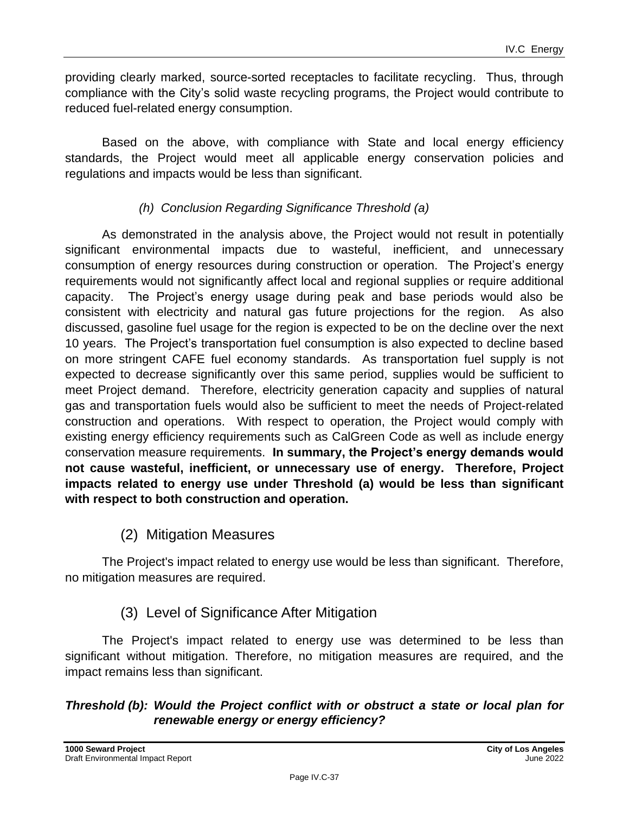providing clearly marked, source-sorted receptacles to facilitate recycling. Thus, through compliance with the City's solid waste recycling programs, the Project would contribute to reduced fuel-related energy consumption.

Based on the above, with compliance with State and local energy efficiency standards, the Project would meet all applicable energy conservation policies and regulations and impacts would be less than significant.

#### *(h) Conclusion Regarding Significance Threshold (a)*

As demonstrated in the analysis above, the Project would not result in potentially significant environmental impacts due to wasteful, inefficient, and unnecessary consumption of energy resources during construction or operation. The Project's energy requirements would not significantly affect local and regional supplies or require additional capacity. The Project's energy usage during peak and base periods would also be consistent with electricity and natural gas future projections for the region. As also discussed, gasoline fuel usage for the region is expected to be on the decline over the next 10 years. The Project's transportation fuel consumption is also expected to decline based on more stringent CAFE fuel economy standards. As transportation fuel supply is not expected to decrease significantly over this same period, supplies would be sufficient to meet Project demand. Therefore, electricity generation capacity and supplies of natural gas and transportation fuels would also be sufficient to meet the needs of Project-related construction and operations. With respect to operation, the Project would comply with existing energy efficiency requirements such as CalGreen Code as well as include energy conservation measure requirements. **In summary, the Project's energy demands would not cause wasteful, inefficient, or unnecessary use of energy. Therefore, Project impacts related to energy use under Threshold (a) would be less than significant with respect to both construction and operation.**

#### (2) Mitigation Measures

The Project's impact related to energy use would be less than significant. Therefore, no mitigation measures are required.

### (3) Level of Significance After Mitigation

The Project's impact related to energy use was determined to be less than significant without mitigation. Therefore, no mitigation measures are required, and the impact remains less than significant.

#### *Threshold (b): Would the Project conflict with or obstruct a state or local plan for renewable energy or energy efficiency?*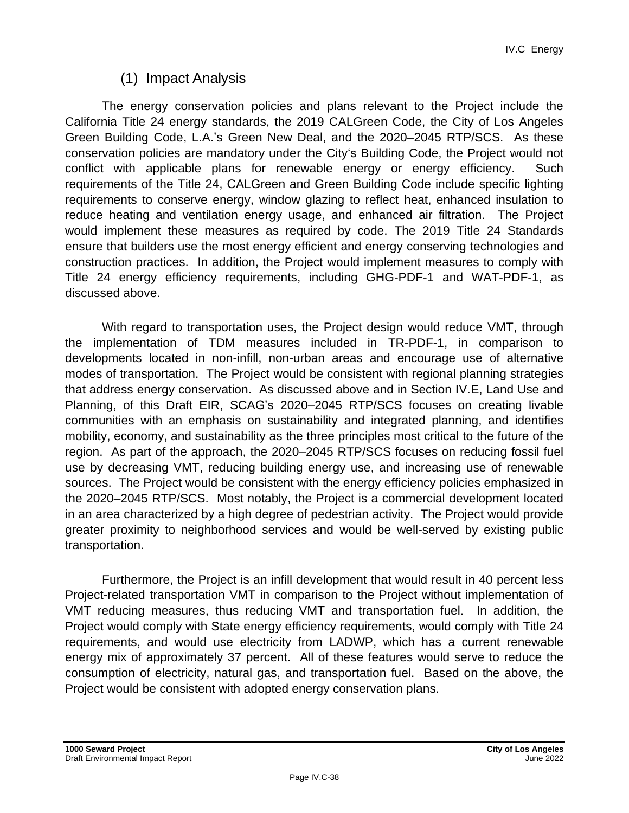## (1) Impact Analysis

The energy conservation policies and plans relevant to the Project include the California Title 24 energy standards, the 2019 CALGreen Code, the City of Los Angeles Green Building Code, L.A.'s Green New Deal, and the 2020–2045 RTP/SCS. As these conservation policies are mandatory under the City's Building Code, the Project would not conflict with applicable plans for renewable energy or energy efficiency. Such requirements of the Title 24, CALGreen and Green Building Code include specific lighting requirements to conserve energy, window glazing to reflect heat, enhanced insulation to reduce heating and ventilation energy usage, and enhanced air filtration. The Project would implement these measures as required by code. The 2019 Title 24 Standards ensure that builders use the most energy efficient and energy conserving technologies and construction practices. In addition, the Project would implement measures to comply with Title 24 energy efficiency requirements, including GHG-PDF-1 and WAT-PDF-1, as discussed above.

With regard to transportation uses, the Project design would reduce VMT, through the implementation of TDM measures included in TR-PDF-1, in comparison to developments located in non-infill, non-urban areas and encourage use of alternative modes of transportation. The Project would be consistent with regional planning strategies that address energy conservation. As discussed above and in Section IV.E, Land Use and Planning, of this Draft EIR, SCAG's 2020–2045 RTP/SCS focuses on creating livable communities with an emphasis on sustainability and integrated planning, and identifies mobility, economy, and sustainability as the three principles most critical to the future of the region. As part of the approach, the 2020–2045 RTP/SCS focuses on reducing fossil fuel use by decreasing VMT, reducing building energy use, and increasing use of renewable sources. The Project would be consistent with the energy efficiency policies emphasized in the 2020–2045 RTP/SCS. Most notably, the Project is a commercial development located in an area characterized by a high degree of pedestrian activity. The Project would provide greater proximity to neighborhood services and would be well-served by existing public transportation.

Furthermore, the Project is an infill development that would result in 40 percent less Project-related transportation VMT in comparison to the Project without implementation of VMT reducing measures, thus reducing VMT and transportation fuel. In addition, the Project would comply with State energy efficiency requirements, would comply with Title 24 requirements, and would use electricity from LADWP, which has a current renewable energy mix of approximately 37 percent. All of these features would serve to reduce the consumption of electricity, natural gas, and transportation fuel. Based on the above, the Project would be consistent with adopted energy conservation plans.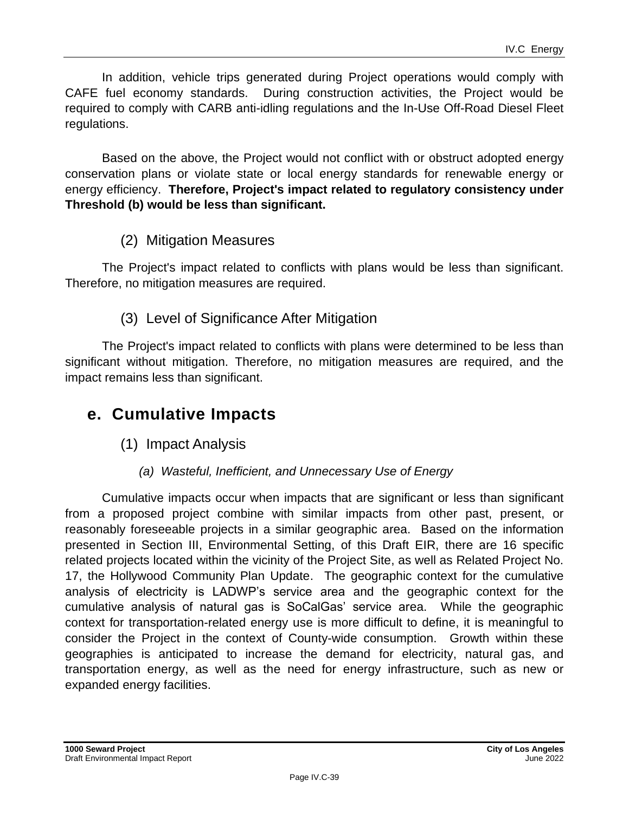In addition, vehicle trips generated during Project operations would comply with CAFE fuel economy standards. During construction activities, the Project would be required to comply with CARB anti-idling regulations and the In-Use Off-Road Diesel Fleet regulations.

Based on the above, the Project would not conflict with or obstruct adopted energy conservation plans or violate state or local energy standards for renewable energy or energy efficiency. **Therefore, Project's impact related to regulatory consistency under Threshold (b) would be less than significant.**

### (2) Mitigation Measures

The Project's impact related to conflicts with plans would be less than significant. Therefore, no mitigation measures are required.

### (3) Level of Significance After Mitigation

The Project's impact related to conflicts with plans were determined to be less than significant without mitigation. Therefore, no mitigation measures are required, and the impact remains less than significant.

## **e. Cumulative Impacts**

(1) Impact Analysis

#### *(a) Wasteful, Inefficient, and Unnecessary Use of Energy*

Cumulative impacts occur when impacts that are significant or less than significant from a proposed project combine with similar impacts from other past, present, or reasonably foreseeable projects in a similar geographic area. Based on the information presented in Section III, Environmental Setting, of this Draft EIR, there are 16 specific related projects located within the vicinity of the Project Site, as well as Related Project No. 17, the Hollywood Community Plan Update. The geographic context for the cumulative analysis of electricity is LADWP's service area and the geographic context for the cumulative analysis of natural gas is SoCalGas' service area. While the geographic context for transportation-related energy use is more difficult to define, it is meaningful to consider the Project in the context of County-wide consumption. Growth within these geographies is anticipated to increase the demand for electricity, natural gas, and transportation energy, as well as the need for energy infrastructure, such as new or expanded energy facilities.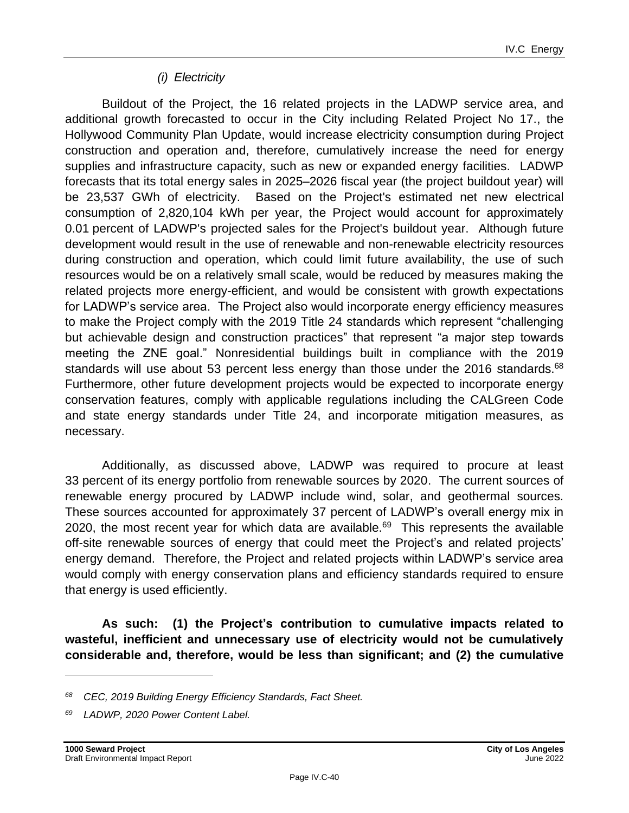#### *(i) Electricity*

Buildout of the Project, the 16 related projects in the LADWP service area, and additional growth forecasted to occur in the City including Related Project No 17., the Hollywood Community Plan Update, would increase electricity consumption during Project construction and operation and, therefore, cumulatively increase the need for energy supplies and infrastructure capacity, such as new or expanded energy facilities. LADWP forecasts that its total energy sales in 2025–2026 fiscal year (the project buildout year) will be 23,537 GWh of electricity. Based on the Project's estimated net new electrical consumption of 2,820,104 kWh per year, the Project would account for approximately 0.01 percent of LADWP's projected sales for the Project's buildout year. Although future development would result in the use of renewable and non-renewable electricity resources during construction and operation, which could limit future availability, the use of such resources would be on a relatively small scale, would be reduced by measures making the related projects more energy-efficient, and would be consistent with growth expectations for LADWP's service area. The Project also would incorporate energy efficiency measures to make the Project comply with the 2019 Title 24 standards which represent "challenging but achievable design and construction practices" that represent "a major step towards meeting the ZNE goal." Nonresidential buildings built in compliance with the 2019 standards will use about 53 percent less energy than those under the 2016 standards.<sup>68</sup> Furthermore, other future development projects would be expected to incorporate energy conservation features, comply with applicable regulations including the CALGreen Code and state energy standards under Title 24, and incorporate mitigation measures, as necessary.

Additionally, as discussed above, LADWP was required to procure at least 33 percent of its energy portfolio from renewable sources by 2020. The current sources of renewable energy procured by LADWP include wind, solar, and geothermal sources. These sources accounted for approximately 37 percent of LADWP's overall energy mix in 2020, the most recent year for which data are available. $^{69}$  This represents the available off-site renewable sources of energy that could meet the Project's and related projects' energy demand. Therefore, the Project and related projects within LADWP's service area would comply with energy conservation plans and efficiency standards required to ensure that energy is used efficiently.

**As such: (1) the Project's contribution to cumulative impacts related to wasteful, inefficient and unnecessary use of electricity would not be cumulatively considerable and, therefore, would be less than significant; and (2) the cumulative**

*<sup>68</sup> CEC, 2019 Building Energy Efficiency Standards, Fact Sheet.*

*<sup>69</sup> LADWP, 2020 Power Content Label.*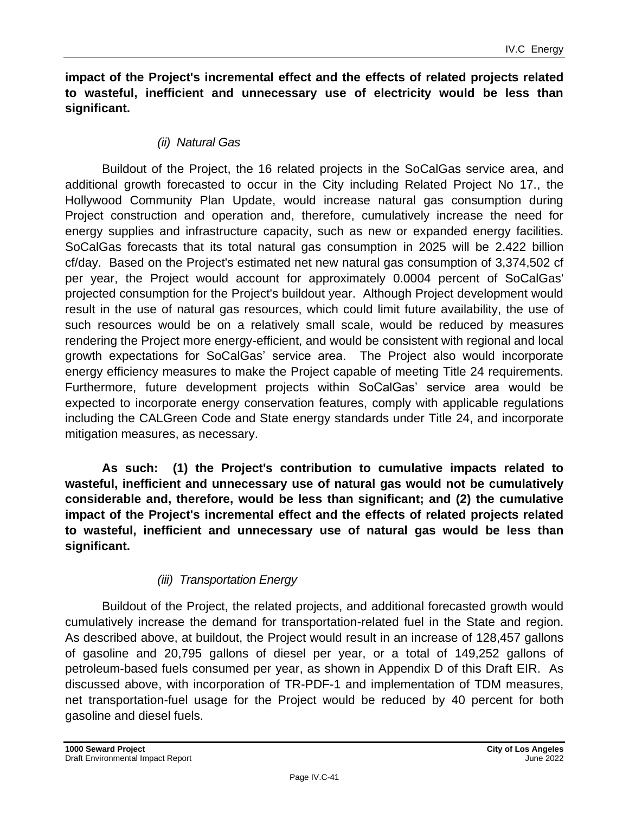**impact of the Project's incremental effect and the effects of related projects related to wasteful, inefficient and unnecessary use of electricity would be less than significant.**

#### *(ii) Natural Gas*

Buildout of the Project, the 16 related projects in the SoCalGas service area, and additional growth forecasted to occur in the City including Related Project No 17., the Hollywood Community Plan Update, would increase natural gas consumption during Project construction and operation and, therefore, cumulatively increase the need for energy supplies and infrastructure capacity, such as new or expanded energy facilities. SoCalGas forecasts that its total natural gas consumption in 2025 will be 2.422 billion cf/day. Based on the Project's estimated net new natural gas consumption of 3,374,502 cf per year, the Project would account for approximately 0.0004 percent of SoCalGas' projected consumption for the Project's buildout year. Although Project development would result in the use of natural gas resources, which could limit future availability, the use of such resources would be on a relatively small scale, would be reduced by measures rendering the Project more energy-efficient, and would be consistent with regional and local growth expectations for SoCalGas' service area. The Project also would incorporate energy efficiency measures to make the Project capable of meeting Title 24 requirements. Furthermore, future development projects within SoCalGas' service area would be expected to incorporate energy conservation features, comply with applicable regulations including the CALGreen Code and State energy standards under Title 24, and incorporate mitigation measures, as necessary.

**As such: (1) the Project's contribution to cumulative impacts related to wasteful, inefficient and unnecessary use of natural gas would not be cumulatively considerable and, therefore, would be less than significant; and (2) the cumulative impact of the Project's incremental effect and the effects of related projects related to wasteful, inefficient and unnecessary use of natural gas would be less than significant.**

#### *(iii) Transportation Energy*

Buildout of the Project, the related projects, and additional forecasted growth would cumulatively increase the demand for transportation-related fuel in the State and region. As described above, at buildout, the Project would result in an increase of 128,457 gallons of gasoline and 20,795 gallons of diesel per year, or a total of 149,252 gallons of petroleum-based fuels consumed per year, as shown in Appendix D of this Draft EIR. As discussed above, with incorporation of TR-PDF-1 and implementation of TDM measures, net transportation-fuel usage for the Project would be reduced by 40 percent for both gasoline and diesel fuels.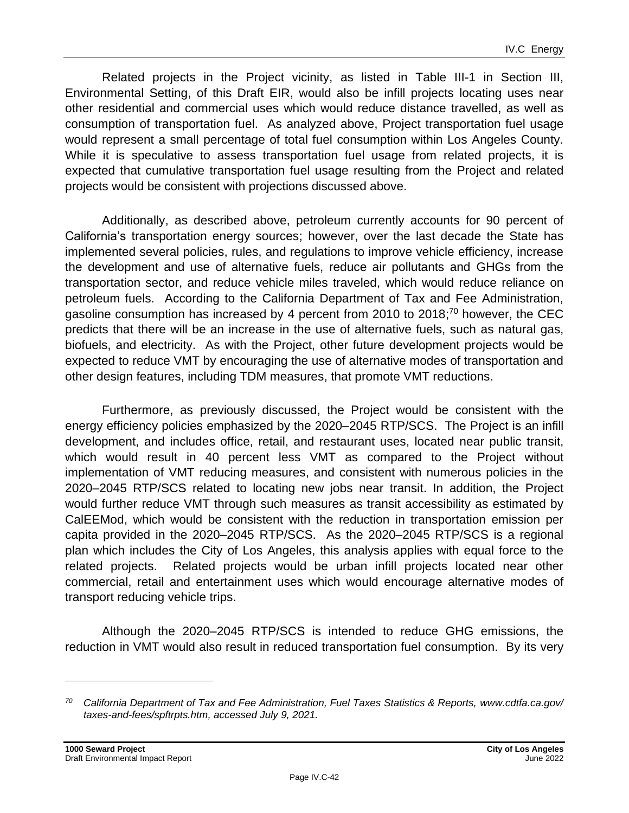Related projects in the Project vicinity, as listed in Table III-1 in Section III, Environmental Setting, of this Draft EIR, would also be infill projects locating uses near other residential and commercial uses which would reduce distance travelled, as well as consumption of transportation fuel. As analyzed above, Project transportation fuel usage would represent a small percentage of total fuel consumption within Los Angeles County. While it is speculative to assess transportation fuel usage from related projects, it is expected that cumulative transportation fuel usage resulting from the Project and related projects would be consistent with projections discussed above.

Additionally, as described above, petroleum currently accounts for 90 percent of California's transportation energy sources; however, over the last decade the State has implemented several policies, rules, and regulations to improve vehicle efficiency, increase the development and use of alternative fuels, reduce air pollutants and GHGs from the transportation sector, and reduce vehicle miles traveled, which would reduce reliance on petroleum fuels. According to the California Department of Tax and Fee Administration, gasoline consumption has increased by 4 percent from 2010 to 2018;<sup>70</sup> however, the CEC predicts that there will be an increase in the use of alternative fuels, such as natural gas, biofuels, and electricity. As with the Project, other future development projects would be expected to reduce VMT by encouraging the use of alternative modes of transportation and other design features, including TDM measures, that promote VMT reductions.

Furthermore, as previously discussed, the Project would be consistent with the energy efficiency policies emphasized by the 2020–2045 RTP/SCS. The Project is an infill development, and includes office, retail, and restaurant uses, located near public transit, which would result in 40 percent less VMT as compared to the Project without implementation of VMT reducing measures, and consistent with numerous policies in the 2020–2045 RTP/SCS related to locating new jobs near transit. In addition, the Project would further reduce VMT through such measures as transit accessibility as estimated by CalEEMod, which would be consistent with the reduction in transportation emission per capita provided in the 2020–2045 RTP/SCS. As the 2020–2045 RTP/SCS is a regional plan which includes the City of Los Angeles, this analysis applies with equal force to the related projects. Related projects would be urban infill projects located near other commercial, retail and entertainment uses which would encourage alternative modes of transport reducing vehicle trips.

Although the 2020–2045 RTP/SCS is intended to reduce GHG emissions, the reduction in VMT would also result in reduced transportation fuel consumption. By its very

*<sup>70</sup> California Department of Tax and Fee Administration, Fuel Taxes Statistics & Reports, www.cdtfa.ca.gov/ taxes-and-fees/spftrpts.htm, accessed July 9, 2021.*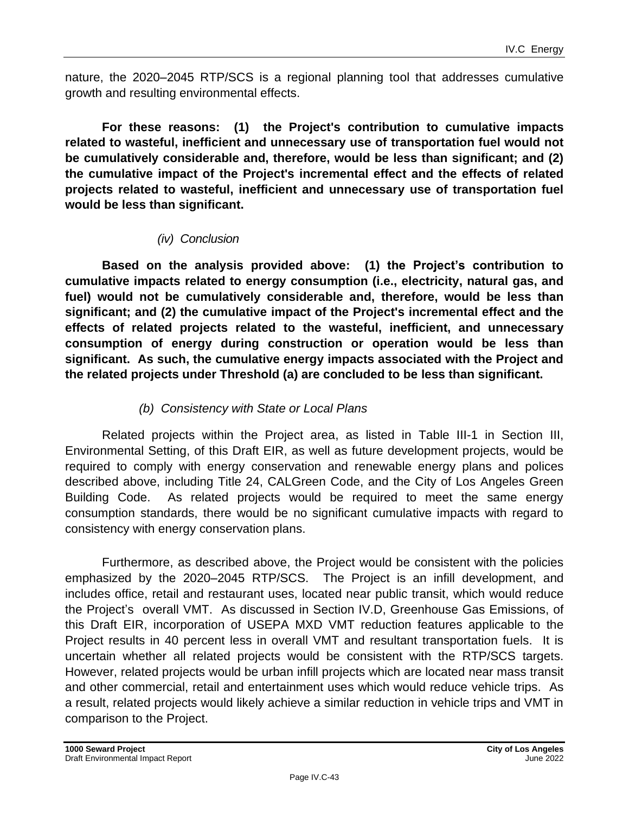nature, the 2020–2045 RTP/SCS is a regional planning tool that addresses cumulative growth and resulting environmental effects.

**For these reasons: (1) the Project's contribution to cumulative impacts related to wasteful, inefficient and unnecessary use of transportation fuel would not be cumulatively considerable and, therefore, would be less than significant; and (2) the cumulative impact of the Project's incremental effect and the effects of related projects related to wasteful, inefficient and unnecessary use of transportation fuel would be less than significant.**

#### *(iv) Conclusion*

**Based on the analysis provided above: (1) the Project's contribution to cumulative impacts related to energy consumption (i.e., electricity, natural gas, and fuel) would not be cumulatively considerable and, therefore, would be less than significant; and (2) the cumulative impact of the Project's incremental effect and the effects of related projects related to the wasteful, inefficient, and unnecessary consumption of energy during construction or operation would be less than significant. As such, the cumulative energy impacts associated with the Project and the related projects under Threshold (a) are concluded to be less than significant.**

#### *(b) Consistency with State or Local Plans*

Related projects within the Project area, as listed in Table III-1 in Section III, Environmental Setting, of this Draft EIR, as well as future development projects, would be required to comply with energy conservation and renewable energy plans and polices described above, including Title 24, CALGreen Code, and the City of Los Angeles Green Building Code. As related projects would be required to meet the same energy consumption standards, there would be no significant cumulative impacts with regard to consistency with energy conservation plans.

Furthermore, as described above, the Project would be consistent with the policies emphasized by the 2020–2045 RTP/SCS. The Project is an infill development, and includes office, retail and restaurant uses, located near public transit, which would reduce the Project's overall VMT. As discussed in Section IV.D, Greenhouse Gas Emissions, of this Draft EIR, incorporation of USEPA MXD VMT reduction features applicable to the Project results in 40 percent less in overall VMT and resultant transportation fuels. It is uncertain whether all related projects would be consistent with the RTP/SCS targets. However, related projects would be urban infill projects which are located near mass transit and other commercial, retail and entertainment uses which would reduce vehicle trips. As a result, related projects would likely achieve a similar reduction in vehicle trips and VMT in comparison to the Project.